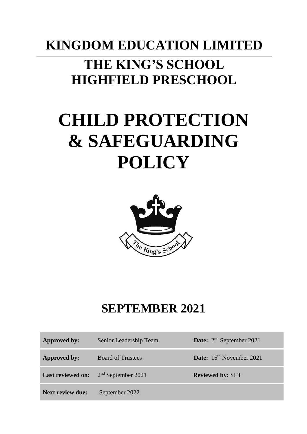## **KINGDOM EDUCATION LIMITED THE KING'S SCHOOL HIGHFIELD PRESCHOOL**

# **CHILD PROTECTION & SAFEGUARDING POLICY**



### **SEPTEMBER 2021**

| Approved by: | Senior Leadership Team                        | <b>Date:</b> $2^{nd}$ September 2021 |
|--------------|-----------------------------------------------|--------------------------------------|
| Approved by: | <b>Board of Trustees</b>                      | <b>Date:</b> $15th$ November 2021    |
|              | <b>Last reviewed on:</b> $2nd$ September 2021 | <b>Reviewed by: SLT</b>              |
|              |                                               |                                      |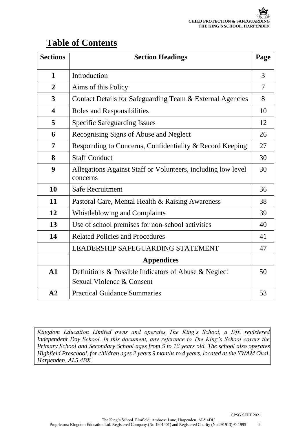### **Table of Contents**

| <b>Sections</b>         | <b>Section Headings</b>                                                  | Page |
|-------------------------|--------------------------------------------------------------------------|------|
| $\mathbf{1}$            | Introduction                                                             | 3    |
| $\overline{2}$          | Aims of this Policy                                                      | 7    |
| 3                       | Contact Details for Safeguarding Team & External Agencies                | 8    |
| $\overline{\mathbf{4}}$ | Roles and Responsibilities                                               | 10   |
| 5                       | <b>Specific Safeguarding Issues</b>                                      | 12   |
| 6                       | Recognising Signs of Abuse and Neglect                                   | 26   |
| 7                       | Responding to Concerns, Confidentiality & Record Keeping                 | 27   |
| 8                       | <b>Staff Conduct</b>                                                     | 30   |
| 9                       | Allegations Against Staff or Volunteers, including low level<br>concerns | 30   |
| 10                      | <b>Safe Recruitment</b>                                                  | 36   |
| 11                      | Pastoral Care, Mental Health & Raising Awareness                         | 38   |
| 12                      | <b>Whistleblowing and Complaints</b>                                     | 39   |
| 13                      | Use of school premises for non-school activities                         | 40   |
| 14                      | <b>Related Policies and Procedures</b>                                   | 41   |
|                         | LEADERSHIP SAFEGUARDING STATEMENT                                        | 47   |
|                         | <b>Appendices</b>                                                        |      |
| $\mathbf{A1}$           | Definitions & Possible Indicators of Abuse & Neglect                     | 50   |
|                         | Sexual Violence & Consent                                                |      |
| A2                      | <b>Practical Guidance Summaries</b>                                      | 53   |

*Kingdom Education Limited owns and operates The King's School, a DfE registered Independent Day School. In this document, any reference to The King's School covers the Primary School and Secondary School ages from 5 to 16 years old. The school also operates Highfield Preschool, for children ages 2 years 9 months to 4 years, located at the YWAM Oval, Harpenden, AL5 4BX.*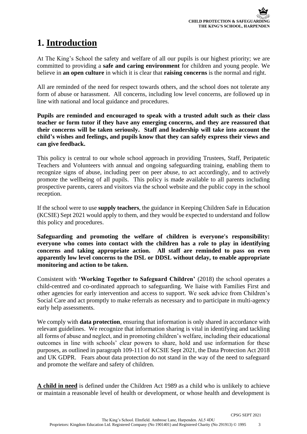### **1. Introduction**

At The King's School the safety and welfare of all our pupils is our highest priority; we are committed to providing a **safe and caring environment** for children and young people. We believe in **an open culture** in which it is clear that **raising concerns** is the normal and right.

All are reminded of the need for respect towards others, and the school does not tolerate any form of abuse or harassment. All concerns, including low level concerns, are followed up in line with national and local guidance and procedures.

**Pupils are reminded and encouraged to speak with a trusted adult such as their class teacher or form tutor if they have any emerging concerns, and they are reassured that their concerns will be taken seriously. Staff and leadership will take into account the child's wishes and feelings, and pupils know that they can safely express their views and can give feedback.** 

This policy is central to our whole school approach in providing Trustees, Staff, Peripatetic Teachers and Volunteers with annual and ongoing safeguarding training, enabling them to recognize signs of abuse, including peer on peer abuse, to act accordingly, and to actively promote the wellbeing of all pupils. This policy is made available to all parents including prospective parents, carers and visitors via the school website and the public copy in the school reception.

If the school were to use **supply teachers**, the guidance in Keeping Children Safe in Education (KCSIE) Sept 2021 would apply to them, and they would be expected to understand and follow this policy and procedures.

**Safeguarding and promoting the welfare of children is everyone's responsibility: everyone who comes into contact with the children has a role to play in identifying concerns and taking appropriate action. All staff are reminded to pass on even apparently low level concerns to the DSL or DDSL without delay, to enable appropriate monitoring and action to be taken.**

Consistent with **'Working Together to Safeguard Children'** (2018) the school operates a child-centred and co-ordinated approach to safeguarding. We liaise with Families First and other agencies for early intervention and access to support. We seek advice from Children's Social Care and act promptly to make referrals as necessary and to participate in multi-agency early help assessments.

We comply with **data protection**, ensuring that information is only shared in accordance with relevant guidelines. We recognize that information sharing is vital in identifying and tackling all forms of abuse and neglect, and in promoting children's welfare, including their educational outcomes in line with schools' clear powers to share, hold and use information for these purposes, as outlined in paragraph 109-111 of KCSIE Sept 2021, the Data Protection Act 2018 and UK GDPR. Fears about data protection do not stand in the way of the need to safeguard and promote the welfare and safety of children.

**A child in need** is defined under the Children Act 1989 as a child who is unlikely to achieve or maintain a reasonable level of health or development, or whose health and development is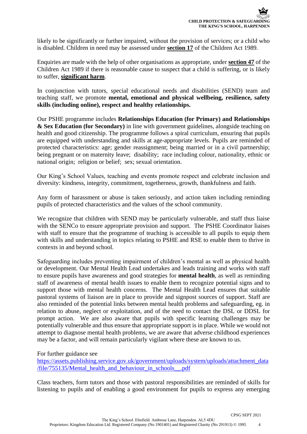likely to be significantly or further impaired, without the provision of services; or a child who is disabled. Children in need may be assessed under **section 17** of the Children Act 1989.

Enquiries are made with the help of other organisations as appropriate, under **section 47** of the Children Act 1989 if there is reasonable cause to suspect that a child is suffering, or is likely to suffer, **significant harm**.

In conjunction with tutors, special educational needs and disabilities (SEND) team and teaching staff, we promote **mental, emotional and physical wellbeing, resilience, safety skills (including online), respect and healthy relationships.** 

Our PSHE programme includes **Relationships Education (for Primary) and Relationships & Sex Education (for Secondary)** in line with government guidelines, alongside teaching on health and good citizenship. The programme follows a spiral curriculum, ensuring that pupils are equipped with understanding and skills at age-appropriate levels. Pupils are reminded of protected characteristics: age; gender reassignment; being married or in a civil partnership; being pregnant or on maternity leave; disability; race including colour, nationality, ethnic or national origin; religion or belief; sex; sexual orientation.

Our King's School Values, teaching and events promote respect and celebrate inclusion and diversity: kindness, integrity, commitment, togetherness, growth, thankfulness and faith.

Any form of harassment or abuse is taken seriously, and action taken including reminding pupils of protected characteristics and the values of the school community.

We recognize that children with SEND may be particularly vulnerable, and staff thus liaise with the SENCo to ensure appropriate provision and support. The PSHE Coordinator liaises with staff to ensure that the programme of teaching is accessible to all pupils to equip them with skills and understanding in topics relating to PSHE and RSE to enable them to thrive in contexts in and beyond school.

Safeguarding includes preventing impairment of children's mental as well as physical health or development. Our Mental Health Lead undertakes and leads training and works with staff to ensure pupils have awareness and good strategies for **mental health**, as well as reminding staff of awareness of mental health issues to enable them to recognize potential signs and to support those with mental health concerns. The Mental Health Lead ensures that suitable pastoral systems of liaison are in place to provide and signpost sources of support. Staff are also reminded of the potential links between mental health problems and safeguarding, eg. in relation to abuse, neglect or exploitation, and of the need to contact the DSL or DDSL for prompt action. We are also aware that pupils with specific learning challenges may be potentially vulnerable and thus ensure that appropriate support is in place. While we would not attempt to diagnose mental health problems, we are aware that adverse childhood experiences may be a factor, and will remain particularly vigilant where these are known to us.

For further guidance see

[https://assets.publishing.service.gov.uk/government/uploads/system/uploads/attachment\\_data](https://assets.publishing.service.gov.uk/government/uploads/system/uploads/attachment_data/file/755135/Mental_health_and_behaviour_in_schools__.pdf) [/file/755135/Mental\\_health\\_and\\_behaviour\\_in\\_schools\\_\\_.pdf](https://assets.publishing.service.gov.uk/government/uploads/system/uploads/attachment_data/file/755135/Mental_health_and_behaviour_in_schools__.pdf)

Class teachers, form tutors and those with pastoral responsibilities are reminded of skills for listening to pupils and of enabling a good environment for pupils to express any emerging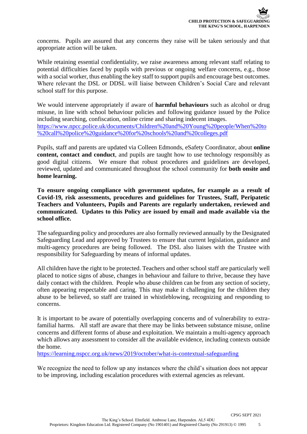concerns. Pupils are assured that any concerns they raise will be taken seriously and that appropriate action will be taken.

While retaining essential confidentiality, we raise awareness among relevant staff relating to potential difficulties faced by pupils with previous or ongoing welfare concerns, e.g., those with a social worker, thus enabling the key staff to support pupils and encourage best outcomes. Where relevant the DSL or DDSL will liaise between Children's Social Care and relevant school staff for this purpose.

We would intervene appropriately if aware of **harmful behaviours** such as alcohol or drug misuse, in line with school behaviour policies and following guidance issued by the Police including searching, confiscation, online crime and sharing indecent images. [https://www.npcc.police.uk/documents/Children%20and%20Young%20people/When%20to](https://www.npcc.police.uk/documents/Children%20and%20Young%20people/When%20to%20call%20police%20guidance%20for%20schools%20and%20colleges.pdf) [%20call%20police%20guidance%20for%20schools%20and%20colleges.pdf](https://www.npcc.police.uk/documents/Children%20and%20Young%20people/When%20to%20call%20police%20guidance%20for%20schools%20and%20colleges.pdf)

Pupils, staff and parents are updated via Colleen Edmonds, eSafety Coordinator, about **online content, contact and conduct**, and pupils are taught how to use technology responsibly as good digital citizens. We ensure that robust procedures and guidelines are developed, reviewed, updated and communicated throughout the school community for **both onsite and home learning.** 

**To ensure ongoing compliance with government updates, for example as a result of Covid-19, risk assessments, procedures and guidelines for Trustees, Staff, Peripatetic Teachers and Volunteers, Pupils and Parents are regularly undertaken, reviewed and communicated. Updates to this Policy are issued by email and made available via the school office.** 

The safeguarding policy and procedures are also formally reviewed annually by the Designated Safeguarding Lead and approved by Trustees to ensure that current legislation, guidance and multi-agency procedures are being followed. The DSL also liaises with the Trustee with responsibility for Safeguarding by means of informal updates.

All children have the right to be protected. Teachers and other school staff are particularly well placed to notice signs of abuse, changes in behaviour and failure to thrive, because they have daily contact with the children. People who abuse children can be from any section of society, often appearing respectable and caring. This may make it challenging for the children they abuse to be believed, so staff are trained in whistleblowing, recognizing and responding to concerns.

It is important to be aware of potentially overlapping concerns and of vulnerability to extrafamilial harms. All staff are aware that there may be links between substance misuse, online concerns and different forms of abuse and exploitation. We maintain a multi-agency approach which allows any assessment to consider all the available evidence, including contexts outside the home.

<https://learning.nspcc.org.uk/news/2019/october/what-is-contextual-safeguarding>

We recognize the need to follow up any instances where the child's situation does not appear to be improving, including escalation procedures with external agencies as relevant.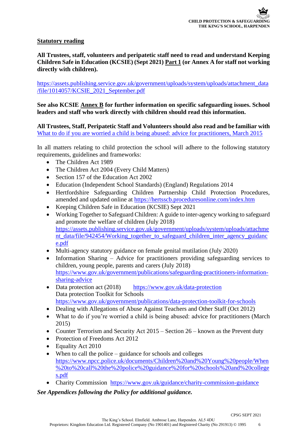### **Statutory reading**

**All Trustees, staff, volunteers and peripatetic staff need to read and understand Keeping Children Safe in Education (KCSIE) (Sept 2021) Part 1 (or Annex A for staff not working directly with children).** 

[https://assets.publishing.service.gov.uk/government/uploads/system/uploads/attachment\\_data](https://assets.publishing.service.gov.uk/government/uploads/system/uploads/attachment_data/file/1014057/KCSIE_2021_September.pdf) [/file/1014057/KCSIE\\_2021\\_September.pdf](https://assets.publishing.service.gov.uk/government/uploads/system/uploads/attachment_data/file/1014057/KCSIE_2021_September.pdf)

### **See also KCSIE Annex B for further information on specific safeguarding issues. School leaders and staff who work directly with children should read this information.**

**All Trustees, Staff, Peripatetic Staff and Volunteers should also read and be familiar with** [What to do if you are worried a child is being abused: advice for practitioners, March 2015](https://www.gov.uk/government/uploads/system/uploads/attachment_data/file/419604/What_to_do_if_you_re_worried_a_child_is_being_abused.pdf)

In all matters relating to child protection the school will adhere to the following statutory requirements, guidelines and frameworks:

- The Children Act 1989
- The Children Act 2004 (Every Child Matters)
- Section 157 of the Education Act 2002
- Education (Independent School Standards) (England) Regulations 2014
- Hertfordshire Safeguarding Children Partnership Child Protection Procedures, amended and updated online at<https://hertsscb.proceduresonline.com/index.htm>
- Keeping Children Safe in Education (KCSIE) Sept 2021
- Working Together to Safeguard Children: A guide to inter-agency working to safeguard and promote the welfare of children (July 2018) [https://assets.publishing.service.gov.uk/government/uploads/system/uploads/attachme](https://assets.publishing.service.gov.uk/government/uploads/system/uploads/attachment_data/file/942454/Working_together_to_safeguard_children_inter_agency_guidance.pdf) [nt\\_data/file/942454/Working\\_together\\_to\\_safeguard\\_children\\_inter\\_agency\\_guidanc](https://assets.publishing.service.gov.uk/government/uploads/system/uploads/attachment_data/file/942454/Working_together_to_safeguard_children_inter_agency_guidance.pdf) [e.pdf](https://assets.publishing.service.gov.uk/government/uploads/system/uploads/attachment_data/file/942454/Working_together_to_safeguard_children_inter_agency_guidance.pdf)
- Multi-agency statutory guidance on female genital mutilation (July 2020)
- Information Sharing Advice for practitioners providing safeguarding services to children, young people, parents and carers (July 2018) [https://www.gov.uk/government/publications/safeguarding-practitioners-information](https://www.gov.uk/government/publications/safeguarding-practitioners-information-sharing-advice)[sharing-advice](https://www.gov.uk/government/publications/safeguarding-practitioners-information-sharing-advice)
- Data protection act (2018) <https://www.gov.uk/data-protection> Data protection Toolkit for Schools <https://www.gov.uk/government/publications/data-protection-toolkit-for-schools>
- Dealing with Allegations of Abuse Against Teachers and Other Staff (Oct 2012)
- [What to do if you're worried a child is being abused: advice for practitioners \(March](https://www.gov.uk/government/uploads/system/uploads/attachment_data/file/419604/What_to_do_if_you_re_worried_a_child_is_being_abused.pdf) 2015)
- Counter Terrorism and Security Act 2015 Section 26 known as the Prevent duty
- Protection of Freedoms Act 2012
- Equality Act 2010
- When to call the police guidance for schools and colleges [https://www.npcc.police.uk/documents/Children%20and%20Young%20people/When](https://www.npcc.police.uk/documents/Children%20and%20Young%20people/When%20to%20call%20the%20police%20guidance%20for%20schools%20and%20colleges.pdf) [%20to%20call%20the%20police%20guidance%20for%20schools%20and%20college](https://www.npcc.police.uk/documents/Children%20and%20Young%20people/When%20to%20call%20the%20police%20guidance%20for%20schools%20and%20colleges.pdf) [s.pdf](https://www.npcc.police.uk/documents/Children%20and%20Young%20people/When%20to%20call%20the%20police%20guidance%20for%20schools%20and%20colleges.pdf)
- Charity Commission <https://www.gov.uk/guidance/charity-commission-guidance>

*See Appendices following the Policy for additional guidance.*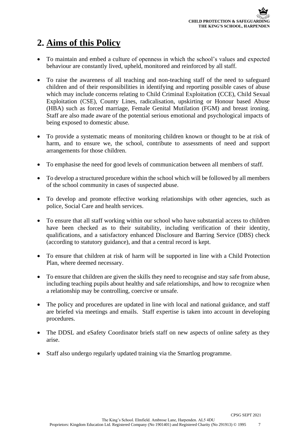### **2. Aims of this Policy**

- To maintain and embed a culture of openness in which the school's values and expected behaviour are constantly lived, upheld, monitored and reinforced by all staff.
- To raise the awareness of all teaching and non-teaching staff of the need to safeguard children and of their responsibilities in identifying and reporting possible cases of abuse which may include concerns relating to Child Criminal Exploitation (CCE), Child Sexual Exploitation (CSE), County Lines, radicalisation, upskirting or Honour based Abuse (HBA) such as forced marriage, Female Genital Mutilation (FGM) and breast ironing. Staff are also made aware of the potential serious emotional and psychological impacts of being exposed to domestic abuse.
- To provide a systematic means of monitoring children known or thought to be at risk of harm, and to ensure we, the school, contribute to assessments of need and support arrangements for those children.
- To emphasise the need for good levels of communication between all members of staff.
- To develop a structured procedure within the school which will be followed by all members of the school community in cases of suspected abuse.
- To develop and promote effective working relationships with other agencies, such as police, Social Care and health services.
- To ensure that all staff working within our school who have substantial access to children have been checked as to their suitability, including verification of their identity, qualifications, and a satisfactory enhanced Disclosure and Barring Service (DBS) check (according to statutory guidance), and that a central record is kept.
- To ensure that children at risk of harm will be supported in line with a Child Protection Plan, where deemed necessary.
- To ensure that children are given the skills they need to recognise and stay safe from abuse, including teaching pupils about healthy and safe relationships, and how to recognize when a relationship may be controlling, coercive or unsafe.
- The policy and procedures are updated in line with local and national guidance, and staff are briefed via meetings and emails. Staff expertise is taken into account in developing procedures.
- The DDSL and eSafety Coordinator briefs staff on new aspects of online safety as they arise.
- Staff also undergo regularly updated training via the Smartlog programme.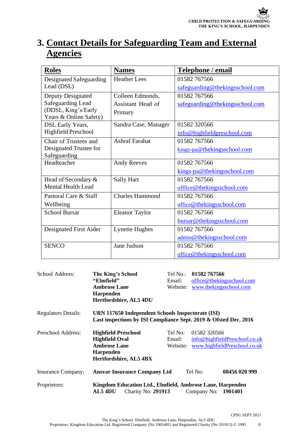### **3. Contact Details for Safeguarding Team and External Agencies**

| <b>Roles</b>                                  | <b>Names</b>           | Telephone / email               |
|-----------------------------------------------|------------------------|---------------------------------|
| Designated Safeguarding                       | <b>Heather Lees</b>    | 01582 767566                    |
| Lead (DSL)                                    |                        | safeguarding@thekingsschool.com |
| <b>Deputy Designated</b>                      | Colleen Edmonds,       | 01582 767566                    |
| <b>Safeguarding Lead</b>                      | Assistant Head of      | safeguarding@thekingsschool.com |
| (DDSL, King's/Early<br>Years & Online Safety) | Primary                |                                 |
| DSL Early Years,                              | Sandra Case, Manager   | 01582 320566                    |
| Highfield Preschool                           |                        | info@highfieldpreschool.com     |
| Chair of Trustees and                         | <b>Ashraf Farahat</b>  | 01582 767566                    |
| Designated Trustee for<br>Safeguarding        |                        | kings-pa@thekingsschool.com     |
| Headteacher                                   | <b>Andy Reeves</b>     | 01582 767566                    |
|                                               |                        | kings-pa@thekingsschool.com     |
| Head of Secondary &                           | <b>Sally Hart</b>      | 01582 767566                    |
| <b>Mental Health Lead</b>                     |                        | offfice@thekingsschool.com      |
| Pastoral Care & Staff                         | <b>Charles Hammond</b> | 01582 767566                    |
| Wellbeing                                     |                        | office@thekingsschool.com       |
| <b>School Bursar</b>                          | <b>Eleanor Taylor</b>  | 01582 767566                    |
|                                               |                        | bursar@thekingsschool.com       |
| Designated First Aider                        | <b>Lynette Hughes</b>  | 01582 767566                    |
|                                               |                        | admin@thekingsschool.com        |
| <b>SENCO</b>                                  | Jane Judson            | 01582 767566                    |
|                                               |                        | office@thekingsschool.com       |

| School Address:            | The King's School                                                                                                     | Tel No.: | 01582 767566        |                               |
|----------------------------|-----------------------------------------------------------------------------------------------------------------------|----------|---------------------|-------------------------------|
|                            | "Elmfield"                                                                                                            | Email:   |                     | office@thekingsschool.com     |
|                            | <b>Ambrose Lane</b>                                                                                                   | Website: |                     | www.thekingsschool.com        |
|                            | Harpenden                                                                                                             |          |                     |                               |
|                            | Hertfordshire, AL5 4DU                                                                                                |          |                     |                               |
| <b>Regulators Details:</b> | URN 117650 Independent Schools Inspectorate (ISI)<br>Last inspections by ISI Compliance Sept. 2019 & Ofsted Dec. 2016 |          |                     |                               |
| Preschool Address:         | <b>Highfield Preschool</b>                                                                                            | Tel No:  | 01582 320566        |                               |
|                            | <b>Highfield Oval</b>                                                                                                 | Email:   |                     | info@highfieldPreschool.co.uk |
|                            | <b>Ambrose Lane</b>                                                                                                   | Website: |                     | www.highfieldPreschool.co.uk  |
|                            | <b>Harpenden</b>                                                                                                      |          |                     |                               |
|                            | Hertfordshire, AL5 4BX                                                                                                |          |                     |                               |
| <b>Insurance Company:</b>  | <b>Ansvar Insurance Company Ltd</b>                                                                                   |          | Tel No:             | 08456 020 999                 |
| Proprietors:               | Kingdom Education Ltd., Elmfield, Ambrose Lane, Harpenden<br><b>Charity No: 291913</b><br>AL54DU                      |          | Company No: 1901401 |                               |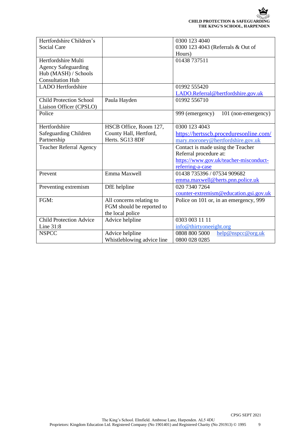| Hertfordshire Children's       |                            | 0300 123 4040                          |
|--------------------------------|----------------------------|----------------------------------------|
| <b>Social Care</b>             |                            | 0300 123 4043 (Referrals & Out of      |
|                                |                            | Hours)                                 |
| Hertfordshire Multi            |                            | 01438 737511                           |
| <b>Agency Safeguarding</b>     |                            |                                        |
| Hub (MASH) / Schools           |                            |                                        |
| <b>Consultation Hub</b>        |                            |                                        |
| <b>LADO</b> Hertfordshire      |                            | 01992 555420                           |
|                                |                            | LADO.Referral@hertfordshire.gov.uk     |
| <b>Child Protection School</b> | Paula Hayden               | 01992 556710                           |
| Liaison Officer (CPSLO)        |                            |                                        |
| Police                         |                            | 101 (non-emergency)<br>999 (emergency) |
|                                |                            |                                        |
| Hertfordshire                  | HSCB Office, Room 127,     | 0300 123 4043                          |
| Safeguarding Children          | County Hall, Hertford,     | https://hertsscb.proceduresonline.com/ |
| Partnership                    | Herts. SG13 8DF            | mary.moroney@hertfordshire.gov.uk      |
| <b>Teacher Referral Agency</b> |                            | Contact is made using the Teacher      |
|                                |                            | Referral procedure at:                 |
|                                |                            | https://www.gov.uk/teacher-misconduct- |
|                                |                            | referring-a-case                       |
| Prevent                        | Emma Maxwell               | 01438 735396 / 07534 909682            |
|                                |                            | emma.maxwell@herts.pnn.police.uk       |
| Preventing extremism           | DfE helpline               | 020 7340 7264                          |
|                                |                            | counter-extremism@education.gsi.gov.uk |
| FGM:                           | All concerns relating to   | Police on 101 or, in an emergency, 999 |
|                                | FGM should be reported to  |                                        |
|                                | the local police           |                                        |
| <b>Child Protection Advice</b> | Advice helpline            | 0303 003 11 11                         |
| Line 31:8                      |                            | info@thirtyoneeight.org                |
| <b>NSPCC</b>                   | Advice helpline            | 0808 800 5000<br>help@nspcc@org.uk     |
|                                | Whistleblowing advice line | 0800 028 0285                          |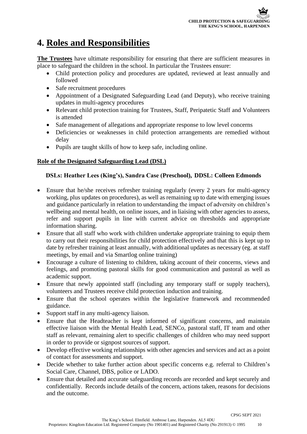### **4. Roles and Responsibilities**

**The Trustees** have ultimate responsibility for ensuring that there are sufficient measures in place to safeguard the children in the school. In particular the Trustees ensure:

- Child protection policy and procedures are updated, reviewed at least annually and followed
- Safe recruitment procedures
- Appointment of a Designated Safeguarding Lead (and Deputy), who receive training updates in multi-agency procedures
- Relevant child protection training for Trustees, Staff, Peripatetic Staff and Volunteers is attended
- Safe management of allegations and appropriate response to low level concerns
- Deficiencies or weaknesses in child protection arrangements are remedied without delay
- Pupils are taught skills of how to keep safe, including online.

### **Role of the Designated Safeguarding Lead (DSL)**

### **DSLs: Heather Lees (King's), Sandra Case (Preschool), DDSL: Colleen Edmonds**

- Ensure that he/she receives refresher training regularly (every 2 years for multi-agency working, plus updates on procedures), as well as remaining up to date with emerging issues and guidance particularly in relation to understanding the impact of adversity on children's wellbeing and mental health, on online issues, and in liaising with other agencies to assess, refer and support pupils in line with current advice on thresholds and appropriate information sharing.
- Ensure that all staff who work with children undertake appropriate training to equip them to carry out their responsibilities for child protection effectively and that this is kept up to date by refresher training at least annually, with additional updates as necessary (eg. at staff meetings, by email and via Smartlog online training)
- Encourage a culture of listening to children, taking account of their concerns, views and feelings, and promoting pastoral skills for good communication and pastoral as well as academic support.
- Ensure that newly appointed staff (including any temporary staff or supply teachers), volunteers and Trustees receive child protection induction and training.
- Ensure that the school operates within the legislative framework and recommended guidance.
- Support staff in any multi-agency liaison.
- Ensure that the Headteacher is kept informed of significant concerns, and maintain effective liaison with the Mental Health Lead, SENCo, pastoral staff, IT team and other staff as relevant, remaining alert to specific challenges of children who may need support in order to provide or signpost sources of support.
- Develop effective working relationships with other agencies and services and act as a point of contact for assessments and support.
- Decide whether to take further action about specific concerns e.g. referral to Children's Social Care, Channel, DBS, police or LADO.
- Ensure that detailed and accurate safeguarding records are recorded and kept securely and confidentially. Records include details of the concern, actions taken, reasons for decisions and the outcome.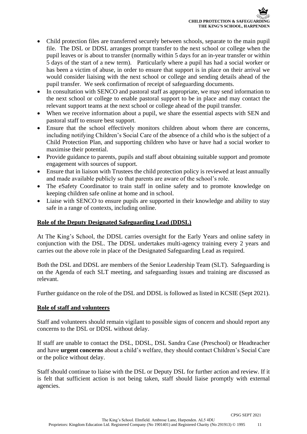- Child protection files are transferred securely between schools, separate to the main pupil file. The DSL or DDSL arranges prompt transfer to the next school or college when the pupil leaves or is about to transfer (normally within 5 days for an in-year transfer or within 5 days of the start of a new term). Particularly where a pupil has had a social worker or has been a victim of abuse, in order to ensure that support is in place on their arrival we would consider liaising with the next school or college and sending details ahead of the pupil transfer. We seek confirmation of receipt of safeguarding documents.
- In consultation with SENCO and pastoral staff as appropriate, we may send information to the next school or college to enable pastoral support to be in place and may contact the relevant support teams at the next school or college ahead of the pupil transfer.
- When we receive information about a pupil, we share the essential aspects with SEN and pastoral staff to ensure best support.
- Ensure that the school effectively monitors children about whom there are concerns, including notifying Children's Social Care of the absence of a child who is the subject of a Child Protection Plan, and supporting children who have or have had a social worker to maximise their potential.
- Provide guidance to parents, pupils and staff about obtaining suitable support and promote engagement with sources of support.
- Ensure that in liaison with Trustees the child protection policy is reviewed at least annually and made available publicly so that parents are aware of the school's role.
- The eSafety Coordinator to train staff in online safety and to promote knowledge on keeping children safe online at home and in school.
- Liaise with SENCO to ensure pupils are supported in their knowledge and ability to stay safe in a range of contexts, including online.

### **Role of the Deputy Designated Safeguarding Lead (DDSL)**

At The King's School, the DDSL carries oversight for the Early Years and online safety in conjunction with the DSL. The DDSL undertakes multi-agency training every 2 years and carries out the above role in place of the Designated Safeguarding Lead as required.

Both the DSL and DDSL are members of the Senior Leadership Team (SLT). Safeguarding is on the Agenda of each SLT meeting, and safeguarding issues and training are discussed as relevant.

Further guidance on the role of the DSL and DDSL is followed as listed in KCSIE (Sept 2021).

### **Role of staff and volunteers**

Staff and volunteers should remain vigilant to possible signs of concern and should report any concerns to the DSL or DDSL without delay.

If staff are unable to contact the DSL, DDSL, DSL Sandra Case (Preschool) or Headteacher and have **urgent concerns** about a child's welfare, they should contact Children's Social Care or the police without delay.

Staff should continue to liaise with the DSL or Deputy DSL for further action and review. If it is felt that sufficient action is not being taken, staff should liaise promptly with external agencies.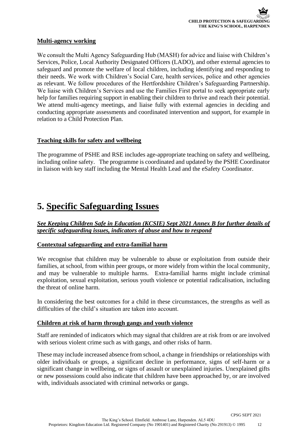### **Multi-agency working**

We consult the Multi Agency Safeguarding Hub (MASH) for advice and liaise with Children's Services, Police, Local Authority Designated Officers (LADO), and other external agencies to safeguard and promote the welfare of local children, including identifying and responding to their needs. We work with Children's Social Care, health services, police and other agencies as relevant. We follow procedures of the Hertfordshire Children's Safeguarding Partnership. We liaise with Children's Services and use the Families First portal to seek appropriate early help for families requiring support in enabling their children to thrive and reach their potential. We attend multi-agency meetings, and liaise fully with external agencies in deciding and conducting appropriate assessments and coordinated intervention and support, for example in relation to a Child Protection Plan.

### **Teaching skills for safety and wellbeing**

The programme of PSHE and RSE includes age-appropriate teaching on safety and wellbeing, including online safety. The programme is coordinated and updated by the PSHE Coordinator in liaison with key staff including the Mental Health Lead and the eSafety Coordinator.

### **5. Specific Safeguarding Issues**

### *See Keeping Children Safe in Education (KCSIE) Sept 2021 Annex B for further details of specific safeguarding issues, indicators of abuse and how to respond*

### **Contextual safeguarding and extra-familial harm**

We recognise that children may be vulnerable to abuse or exploitation from outside their families, at school, from within peer groups, or more widely from within the local community, and may be vulnerable to multiple harms. Extra-familial harms might include criminal exploitation, sexual exploitation, serious youth violence or potential radicalisation, including the threat of online harm.

In considering the best outcomes for a child in these circumstances, the strengths as well as difficulties of the child's situation are taken into account.

#### **Children at risk of harm through gangs and youth violence**

Staff are reminded of indicators which may signal that children are at risk from or are involved with serious violent crime such as with gangs, and other risks of harm.

These may include increased absence from school, a change in friendships or relationships with older individuals or groups, a significant decline in performance, signs of self-harm or a significant change in wellbeing, or signs of assault or unexplained injuries. Unexplained gifts or new possessions could also indicate that children have been approached by, or are involved with, individuals associated with criminal networks or gangs.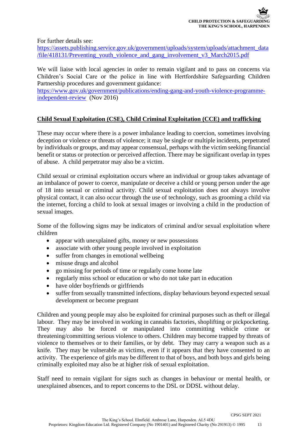For further details see:

[https://assets.publishing.service.gov.uk/government/uploads/system/uploads/attachment\\_data](https://assets.publishing.service.gov.uk/government/uploads/system/uploads/attachment_data/file/418131/Preventing_youth_violence_and_gang_involvement_v3_March2015.pdf) [/file/418131/Preventing\\_youth\\_violence\\_and\\_gang\\_involvement\\_v3\\_March2015.pdf](https://assets.publishing.service.gov.uk/government/uploads/system/uploads/attachment_data/file/418131/Preventing_youth_violence_and_gang_involvement_v3_March2015.pdf) 

We will liaise with local agencies in order to remain vigilant and to pass on concerns via Children's Social Care or the police in line with Hertfordshire Safeguarding Children Partnership procedures and government guidance:

[https://www.gov.uk/government/publications/ending-gang-and-youth-violence-programme](https://www.gov.uk/government/publications/ending-gang-and-youth-violence-programme-independent-review)[independent-review](https://www.gov.uk/government/publications/ending-gang-and-youth-violence-programme-independent-review) (Nov 2016)

### **Child Sexual Exploitation (CSE), Child Criminal Exploitation (CCE) and trafficking**

These may occur where there is a power imbalance leading to coercion, sometimes involving deception or violence or threats of violence; it may be single or multiple incidents, perpetrated by individuals or groups, and may appear consensual, perhaps with the victim seeking financial benefit or status or protection or perceived affection. There may be significant overlap in types of abuse. A child perpetrator may also be a victim.

Child sexual or criminal exploitation occurs where an individual or group takes advantage of an imbalance of power to coerce, manipulate or deceive a child or young person under the age of 18 into sexual or criminal activity. Child sexual exploitation does not always involve physical contact, it can also occur through the use of technology, such as grooming a child via the internet, forcing a child to look at sexual images or involving a child in the production of sexual images.

Some of the following signs may be indicators of criminal and/or sexual exploitation where children

- appear with unexplained gifts, money or new possessions
- associate with other young people involved in exploitation
- suffer from changes in emotional wellbeing
- misuse drugs and alcohol
- go missing for periods of time or regularly come home late
- regularly miss school or education or who do not take part in education
- have older boyfriends or girlfriends
- suffer from sexually transmitted infections, display behaviours beyond expected sexual development or become pregnant

Children and young people may also be exploited for criminal purposes such as theft or illegal labour. They may be involved in working in cannabis factories, shoplifting or pickpocketing. They may also be forced or manipulated into committing vehicle crime or threatening/committing serious violence to others. Children may become trapped by threats of violence to themselves or to their families, or by debt. They may carry a weapon such as a knife. They may be vulnerable as victims, even if it appears that they have consented to an activity. The experience of girls may be different to that of boys, and both boys and girls being criminally exploited may also be at higher risk of sexual exploitation.

Staff need to remain vigilant for signs such as changes in behaviour or mental health, or unexplained absences, and to report concerns to the DSL or DDSL without delay.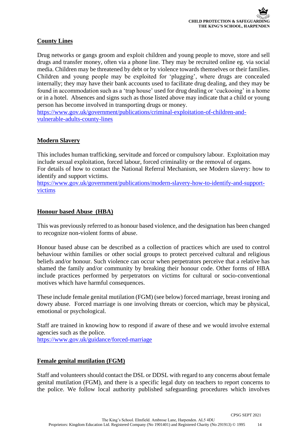### **County Lines**

Drug networks or gangs groom and exploit children and young people to move, store and sell drugs and transfer money, often via a phone line. They may be recruited online eg. via social media. Children may be threatened by debt or by violence towards themselves or their families. Children and young people may be exploited for 'plugging', where drugs are concealed internally; they may have their bank accounts used to facilitate drug dealing, and they may be found in accommodation such as a 'trap house' used for drug dealing or 'cuckooing' in a home or in a hotel. Absences and signs such as those listed above may indicate that a child or young person has become involved in transporting drugs or money.

[https://www.gov.uk/government/publications/criminal-exploitation-of-children-and](https://www.gov.uk/government/publications/criminal-exploitation-of-children-and-vulnerable-adults-county-lines)[vulnerable-adults-county-lines](https://www.gov.uk/government/publications/criminal-exploitation-of-children-and-vulnerable-adults-county-lines) 

### **Modern Slavery**

This includes human trafficking, servitude and forced or compulsory labour. Exploitation may include sexual exploitation, forced labour, forced criminality or the removal of organs. For details of how to contact the National Referral Mechanism, see Modern slavery: how to identify and support victims.

[https://www.gov.uk/government/publications/modern-slavery-how-to-identify-and-support](https://www.gov.uk/government/publications/modern-slavery-how-to-identify-and-support-victims)[victims](https://www.gov.uk/government/publications/modern-slavery-how-to-identify-and-support-victims)

### **Honour based Abuse (HBA)**

This was previously referred to as honour based violence, and the designation has been changed to recognize non-violent forms of abuse.

Honour based abuse can be described as a collection of practices which are used to control behaviour within families or other social groups to protect perceived cultural and religious beliefs and/or honour. Such violence can occur when perpetrators perceive that a relative has shamed the family and/or community by breaking their honour code. Other forms of HBA include practices performed by perpetrators on victims for cultural or socio-conventional motives which have harmful consequences.

These include female genital mutilation (FGM) (see below) forced marriage, breast ironing and dowry abuse. Forced marriage is one involving threats or coercion, which may be physical, emotional or psychological.

Staff are trained in knowing how to respond if aware of these and we would involve external agencies such as the police.

<https://www.gov.uk/guidance/forced-marriage>

### **Female genital mutilation (FGM)**

Staff and volunteers should contact the DSL or DDSL with regard to any concerns about female genital mutilation (FGM), and there is a specific legal duty on teachers to report concerns to the police. We follow local authority published safeguarding procedures which involves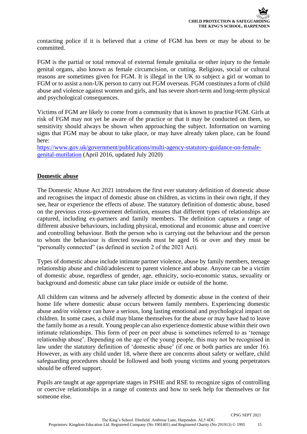contacting police if it is believed that a crime of FGM has been or may be about to be committed.

FGM is the partial or total removal of external female genitalia or other injury to the female genital organs, also known as female circumcision, or cutting. Religious, social or cultural reasons are sometimes given for FGM. It is illegal in the UK to subject a girl or woman to FGM or to assist a non-UK person to carry out FGM overseas. FGM constitutes a form of child abuse and violence against women and girls, and has severe short-term and long-term physical and psychological consequences.

Victims of FGM are likely to come from a community that is known to practise FGM. Girls at risk of FGM may not yet be aware of the practice or that it may be conducted on them, so sensitivity should always be shown when approaching the subject. Information on warning signs that FGM may be about to take place, or may have already taken place, can be found here:

[https://www.gov.uk/government/publications/multi-agency-statutory-guidance-on-female](https://www.gov.uk/government/publications/multi-agency-statutory-guidance-on-female-genital-mutilation)[genital-mutilation](https://www.gov.uk/government/publications/multi-agency-statutory-guidance-on-female-genital-mutilation) (April 2016, updated July 2020)

#### **Domestic abuse**

The Domestic Abuse Act 2021 introduces the first ever statutory definition of domestic abuse and recognises the impact of domestic abuse on children, as victims in their own right, if they see, hear or experience the effects of abuse. The statutory definition of domestic abuse, based on the previous cross-government definition, ensures that different types of relationships are captured, including ex-partners and family members. The definition captures a range of different abusive behaviours, including physical, emotional and economic abuse and coercive and controlling behaviour. Both the person who is carrying out the behaviour and the person to whom the behaviour is directed towards must be aged 16 or over and they must be "personally connected" (as defined in section 2 of the 2021 Act).

Types of domestic abuse include intimate partner violence, abuse by family members, teenage relationship abuse and child/adolescent to parent violence and abuse. Anyone can be a victim of domestic abuse, regardless of gender, age, ethnicity, socio-economic status, sexuality or background and domestic abuse can take place inside or outside of the home.

All children can witness and be adversely affected by domestic abuse in the context of their home life where domestic abuse occurs between family members. Experiencing domestic abuse and/or violence can have a serious, long lasting emotional and psychological impact on children. In some cases, a child may blame themselves for the abuse or may have had to leave the family home as a result. Young people can also experience domestic abuse within their own intimate relationships. This form of peer on peer abuse is sometimes referred to as 'teenage relationship abuse'. Depending on the age of the young people, this may not be recognised in law under the statutory definition of 'domestic abuse' (if one or both parties are under 16). However, as with any child under 18, where there are concerns about safety or welfare, child safeguarding procedures should be followed and both young victims and young perpetrators should be offered support.

Pupils are taught at age appropriate stages in PSHE and RSE to recognize signs of controlling or coercive relationships in a range of contexts and how to seek help for themselves or for someone else.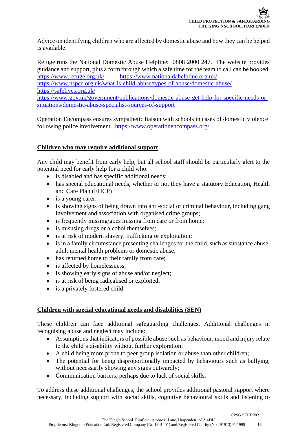Advice on identifying children who are affected by domestic abuse and how they can be helped is available:

Refuge runs the National Domestic Abuse Helpline: 0808 2000 247. The website provides guidance and support, plus a form through which a safe time for the team to call can be booked. <https://www.refuge.org.uk/><https://www.nationaldahelpline.org.uk/>

<https://www.nspcc.org.uk/what-is-child-abuse/types-of-abuse/domestic-abuse/> <https://safelives.org.uk/>

[https://www.gov.uk/government/publications/domestic-abuse-get-help-for-specific-needs-or](https://www.gov.uk/government/publications/domestic-abuse-get-help-for-specific-needs-or-situations/domestic-abuse-specialist-sources-of-support)[situations/domestic-abuse-specialist-sources-of-support](https://www.gov.uk/government/publications/domestic-abuse-get-help-for-specific-needs-or-situations/domestic-abuse-specialist-sources-of-support)

Operation Encompass ensures sympathetic liaison with schools in cases of domestic violence following police involvement.<https://www.operationencompass.org/>

### **Children who may require additional support**

Any child may benefit from early help, but all school staff should be particularly alert to the potential need for early help for a child who:

- is disabled and has specific additional needs;
- has special educational needs, whether or not they have a statutory Education, Health and Care Plan (EHCP)
- is a young carer;
- is showing signs of being drawn into anti-social or criminal behaviour, including gang involvement and association with organised crime groups;
- is frequently missing/goes missing from care or from home;
- is misusing drugs or alcohol themselves;
- is at risk of modern slavery, trafficking or exploitation;
- is in a family circumstance presenting challenges for the child, such as substance abuse, adult mental health problems or domestic abuse;
- has returned home to their family from care;
- is affected by homelessness;
- is showing early signs of abuse and/or neglect;
- is at risk of being radicalised or exploited;
- is a privately fostered child.

### **Children with special educational needs and disabilities (SEN)**

These children can face additional safeguarding challenges. Additional challenges in recognising abuse and neglect may include:

- Assumptions that indicators of possible abuse such as behaviour, mood and injury relate to the child's disability without further exploration;
- A child being more prone to peer group isolation or abuse than other children;
- The potential for being disproportionally impacted by behaviours such as bullying, without necessarily showing any signs outwardly;
- Communication barriers, perhaps due to lack of social skills.

To address these additional challenges, the school provides additional pastoral support where necessary, including support with social skills, cognitive behavioural skills and listening to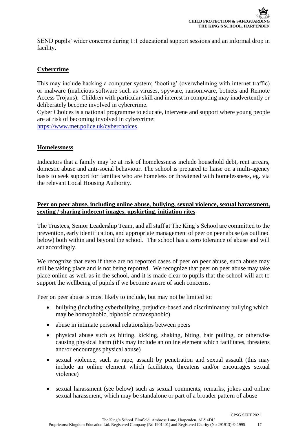SEND pupils' wider concerns during 1:1 educational support sessions and an informal drop in facility.

### **Cybercrime**

This may include hacking a computer system; 'booting' (overwhelming with internet traffic) or malware (malicious software such as viruses, spyware, ransomware, botnets and Remote Access Trojans). Children with particular skill and interest in computing may inadvertently or deliberately become involved in cybercrime.

Cyber Choices is a national programme to educate, intervene and support where young people are at risk of becoming involved in cybercrime:

<https://www.met.police.uk/cyberchoices>

### **Homelessness**

Indicators that a family may be at risk of homelessness include household debt, rent arrears, domestic abuse and anti-social behaviour. The school is prepared to liaise on a multi-agency basis to seek support for families who are homeless or threatened with homelessness, eg. via the relevant Local Housing Authority.

### **Peer on peer abuse, including online abuse, bullying, sexual violence, sexual harassment, sexting / sharing indecent images, upskirting, initiation rites**

The Trustees, Senior Leadership Team, and all staff at The King's School are committed to the prevention, early identification, and appropriate management of peer on peer abuse (as outlined below) both within and beyond the school. The school has a zero tolerance of abuse and will act accordingly.

We recognize that even if there are no reported cases of peer on peer abuse, such abuse may still be taking place and is not being reported. We recognize that peer on peer abuse may take place online as well as in the school, and it is made clear to pupils that the school will act to support the wellbeing of pupils if we become aware of such concerns.

Peer on peer abuse is most likely to include, but may not be limited to:

- bullying (including cyberbullying, prejudice-based and discriminatory bullying which may be homophobic, biphobic or transphobic)
- abuse in intimate personal relationships between peers
- physical abuse such as hitting, kicking, shaking, biting, hair pulling, or otherwise causing physical harm (this may include an online element which facilitates, threatens and/or encourages physical abuse)
- sexual violence, such as rape, assault by penetration and sexual assault (this may include an online element which facilitates, threatens and/or encourages sexual violence)
- sexual harassment (see below) such as sexual comments, remarks, jokes and online sexual harassment, which may be standalone or part of a broader pattern of abuse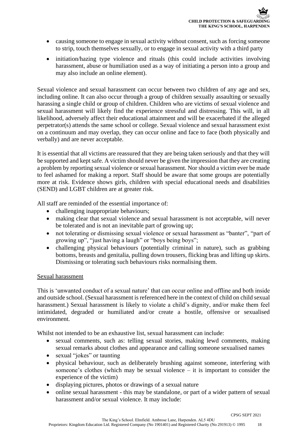- causing someone to engage in sexual activity without consent, such as forcing someone to strip, touch themselves sexually, or to engage in sexual activity with a third party
- initiation/hazing type violence and rituals (this could include activities involving harassment, abuse or humiliation used as a way of initiating a person into a group and may also include an online element).

Sexual violence and sexual harassment can occur between two children of any age and sex, including online. It can also occur through a group of children sexually assaulting or sexually harassing a single child or group of children. Children who are victims of sexual violence and sexual harassment will likely find the experience stressful and distressing. This will, in all likelihood, adversely affect their educational attainment and will be exacerbated if the alleged perpetrator(s) attends the same school or college. Sexual violence and sexual harassment exist on a continuum and may overlap, they can occur online and face to face (both physically and verbally) and are never acceptable.

It is essential that all victims are reassured that they are being taken seriously and that they will be supported and kept safe. A victim should never be given the impression that they are creating a problem by reporting sexual violence or sexual harassment. Nor should a victim ever be made to feel ashamed for making a report. Staff should be aware that some groups are potentially more at risk. Evidence shows girls, children with special educational needs and disabilities (SEND) and LGBT children are at greater risk.

All staff are reminded of the essential importance of:

- challenging inappropriate behaviours;
- making clear that sexual violence and sexual harassment is not acceptable, will never be tolerated and is not an inevitable part of growing up;
- not tolerating or dismissing sexual violence or sexual harassment as "banter", "part of growing up", "just having a laugh" or "boys being boys";
- challenging physical behaviours (potentially criminal in nature), such as grabbing bottoms, breasts and genitalia, pulling down trousers, flicking bras and lifting up skirts. Dismissing or tolerating such behaviours risks normalising them.

#### Sexual harassment

This is 'unwanted conduct of a sexual nature' that can occur online and offline and both inside and outside school. (Sexual harassment is referenced here in the context of child on child sexual harassment.) Sexual harassment is likely to violate a child's dignity, and/or make them feel intimidated, degraded or humiliated and/or create a hostile, offensive or sexualised environment.

Whilst not intended to be an exhaustive list, sexual harassment can include:

- sexual comments, such as: telling sexual stories, making lewd comments, making sexual remarks about clothes and appearance and calling someone sexualised names
- sexual "jokes" or taunting
- physical behaviour, such as deliberately brushing against someone, interfering with someone's clothes (which may be sexual violence – it is important to consider the experience of the victim)
- displaying pictures, photos or drawings of a sexual nature
- online sexual harassment this may be standalone, or part of a wider pattern of sexual harassment and/or sexual violence. It may include: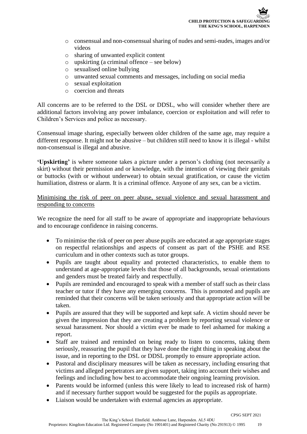- o consensual and non-consensual sharing of nudes and semi-nudes, images and/or videos
- o sharing of unwanted explicit content
- o upskirting (a criminal offence see below)
- o sexualised online bullying
- o unwanted sexual comments and messages, including on social media
- o sexual exploitation
- o coercion and threats

All concerns are to be referred to the DSL or DDSL, who will consider whether there are additional factors involving any power imbalance, coercion or exploitation and will refer to Children's Services and police as necessary.

Consensual image sharing, especially between older children of the same age, may require a different response. It might not be abusive – but children still need to know it is illegal - whilst non-consensual is illegal and abusive.

**'Upskirting'** is where someone takes a picture under a person's clothing (not necessarily a skirt) without their permission and or knowledge, with the intention of viewing their genitals or buttocks (with or without underwear) to obtain sexual gratification, or cause the victim humiliation, distress or alarm. It is a criminal offence. Anyone of any sex, can be a victim.

Minimising the risk of peer on peer abuse, sexual violence and sexual harassment and responding to concerns

We recognize the need for all staff to be aware of appropriate and inappropriate behaviours and to encourage confidence in raising concerns.

- To minimise the risk of peer on peer abuse pupils are educated at age appropriate stages on respectful relationships and aspects of consent as part of the PSHE and RSE curriculum and in other contexts such as tutor groups.
- Pupils are taught about equality and protected characteristics, to enable them to understand at age-appropriate levels that those of all backgrounds, sexual orientations and genders must be treated fairly and respectfully.
- Pupils are reminded and encouraged to speak with a member of staff such as their class teacher or tutor if they have any emerging concerns. This is promoted and pupils are reminded that their concerns will be taken seriously and that appropriate action will be taken.
- Pupils are assured that they will be supported and kept safe. A victim should never be given the impression that they are creating a problem by reporting sexual violence or sexual harassment. Nor should a victim ever be made to feel ashamed for making a report.
- Staff are trained and reminded on being ready to listen to concerns, taking them seriously, reassuring the pupil that they have done the right thing in speaking about the issue, and in reporting to the DSL or DDSL promptly to ensure appropriate action.
- Pastoral and disciplinary measures will be taken as necessary, including ensuring that victims and alleged perpetrators are given support, taking into account their wishes and feelings and including how best to accommodate their ongoing learning provision.
- Parents would be informed (unless this were likely to lead to increased risk of harm) and if necessary further support would be suggested for the pupils as appropriate.
- Liaison would be undertaken with external agencies as appropriate.

CPSG SEPT 2021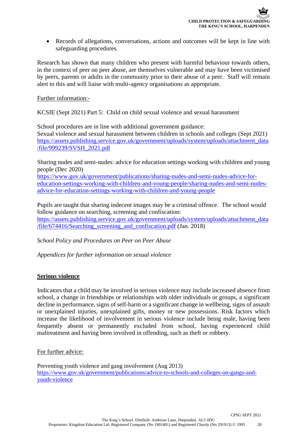• Records of allegations, conversations, actions and outcomes will be kept in line with safeguarding procedures.

Research has shown that many children who present with harmful behaviour towards others, in the context of peer on peer abuse, are themselves vulnerable and may have been victimised by peers, parents or adults in the community prior to their abuse of a peer. Staff will remain alert to this and will liaise with multi-agency organisations as appropriate.

Further information:-

KCSIE (Sept 2021) Part 5: Child on child sexual violence and sexual harassment

School procedures are in line with additional government guidance: Sexual violence and sexual harassment between children in schools and colleges (Sept 2021) [https://assets.publishing.service.gov.uk/government/uploads/system/uploads/attachment\\_data](https://assets.publishing.service.gov.uk/government/uploads/system/uploads/attachment_data/file/999239/SVSH_2021.pdf) [/file/999239/SVSH\\_2021.pdf](https://assets.publishing.service.gov.uk/government/uploads/system/uploads/attachment_data/file/999239/SVSH_2021.pdf)

Sharing nudes and semi-nudes: advice for education settings working with children and young people (Dec 2020)

[https://www.gov.uk/government/publications/sharing-nudes-and-semi-nudes-advice-for](https://www.gov.uk/government/publications/sharing-nudes-and-semi-nudes-advice-for-education-settings-working-with-children-and-young-people/sharing-nudes-and-semi-nudes-advice-for-education-settings-working-with-children-and-young-people)[education-settings-working-with-children-and-young-people/sharing-nudes-and-semi-nudes](https://www.gov.uk/government/publications/sharing-nudes-and-semi-nudes-advice-for-education-settings-working-with-children-and-young-people/sharing-nudes-and-semi-nudes-advice-for-education-settings-working-with-children-and-young-people)[advice-for-education-settings-working-with-children-and-young-people](https://www.gov.uk/government/publications/sharing-nudes-and-semi-nudes-advice-for-education-settings-working-with-children-and-young-people/sharing-nudes-and-semi-nudes-advice-for-education-settings-working-with-children-and-young-people)

Pupils are taught that sharing indecent images may be a criminal offence. The school would follow guidance on searching, screening and confiscation: [https://assets.publishing.service.gov.uk/government/uploads/system/uploads/attachment\\_data](https://assets.publishing.service.gov.uk/government/uploads/system/uploads/attachment_data/file/674416/Searching_screening_and_confiscation.pdf) [/file/674416/Searching\\_screening\\_and\\_confiscation.pdf](https://assets.publishing.service.gov.uk/government/uploads/system/uploads/attachment_data/file/674416/Searching_screening_and_confiscation.pdf) (Jan. 2018)

*School Policy and Procedures on Peer on Peer Abuse*

*Appendices for further information on sexual violence*

### **Serious violence**

Indicators that a child may be involved in serious violence may include increased absence from school, a change in friendships or relationships with older individuals or groups, a significant decline in performance, signs of self-harm or a significant change in wellbeing, signs of assault or unexplained injuries, unexplained gifts, money or new possessions. Risk factors which increase the likelihood of involvement in serious violence include being male, having been frequently absent or permanently excluded from school, having experienced child maltreatment and having been involved in offending, such as theft or robbery.

For further advice:

Preventing youth violence and gang involvement (Aug 2013) [https://www.gov.uk/government/publications/advice-to-schools-and-colleges-on-gangs-and](https://www.gov.uk/government/publications/advice-to-schools-and-colleges-on-gangs-and-youth-violence)[youth-violence](https://www.gov.uk/government/publications/advice-to-schools-and-colleges-on-gangs-and-youth-violence)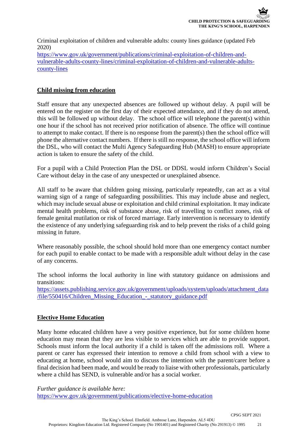Criminal exploitation of children and vulnerable adults: county lines guidance (updated Feb 2020)

[https://www.gov.uk/government/publications/criminal-exploitation-of-children-and](https://www.gov.uk/government/publications/criminal-exploitation-of-children-and-vulnerable-adults-county-lines/criminal-exploitation-of-children-and-vulnerable-adults-county-lines)[vulnerable-adults-county-lines/criminal-exploitation-of-children-and-vulnerable-adults](https://www.gov.uk/government/publications/criminal-exploitation-of-children-and-vulnerable-adults-county-lines/criminal-exploitation-of-children-and-vulnerable-adults-county-lines)[county-lines](https://www.gov.uk/government/publications/criminal-exploitation-of-children-and-vulnerable-adults-county-lines/criminal-exploitation-of-children-and-vulnerable-adults-county-lines)

### **Child missing from education**

Staff ensure that any unexpected absences are followed up without delay. A pupil will be entered on the register on the first day of their expected attendance, and if they do not attend, this will be followed up without delay. The school office will telephone the parent(s) within one hour if the school has not received prior notification of absence. The office will continue to attempt to make contact. If there is no response from the parent(s) then the school office will phone the alternative contact numbers. If there is still no response, the school office will inform the DSL, who will contact the Multi Agency Safeguarding Hub (MASH) to ensure appropriate action is taken to ensure the safety of the child.

For a pupil with a Child Protection Plan the DSL or DDSL would inform Children's Social Care without delay in the case of any unexpected or unexplained absence.

All staff to be aware that children going missing, particularly repeatedly, can act as a vital warning sign of a range of safeguarding possibilities. This may include abuse and neglect, which may include sexual abuse or exploitation and child criminal exploitation. It may indicate mental health problems, risk of substance abuse, risk of travelling to conflict zones, risk of female genital mutilation or risk of forced marriage. Early intervention is necessary to identify the existence of any underlying safeguarding risk and to help prevent the risks of a child going missing in future.

Where reasonably possible, the school should hold more than one emergency contact number for each pupil to enable contact to be made with a responsible adult without delay in the case of any concerns.

The school informs the local authority in line with statutory guidance on admissions and transitions:

[https://assets.publishing.service.gov.uk/government/uploads/system/uploads/attachment\\_data](https://assets.publishing.service.gov.uk/government/uploads/system/uploads/attachment_data/file/550416/Children_Missing_Education_-_statutory_guidance.pdf) [/file/550416/Children\\_Missing\\_Education\\_-\\_statutory\\_guidance.pdf](https://assets.publishing.service.gov.uk/government/uploads/system/uploads/attachment_data/file/550416/Children_Missing_Education_-_statutory_guidance.pdf)

### **Elective Home Education**

Many home educated children have a very positive experience, but for some children home education may mean that they are less visible to services which are able to provide support. Schools must inform the local authority if a child is taken off the admissions roll. Where a parent or carer has expressed their intention to remove a child from school with a view to educating at home, school would aim to discuss the intention with the parent/carer before a final decision had been made, and would be ready to liaise with other professionals, particularly where a child has SEND, is vulnerable and/or has a social worker.

*Further guidance is available here:*  <https://www.gov.uk/government/publications/elective-home-education>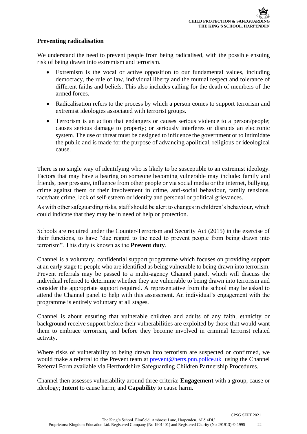### **Preventing radicalisation**

We understand the need to prevent people from being radicalised, with the possible ensuing risk of being drawn into extremism and terrorism.

- Extremism is the vocal or active opposition to our fundamental values, including democracy, the rule of law, individual liberty and the mutual respect and tolerance of different faiths and beliefs. This also includes calling for the death of members of the armed forces.
- Radicalisation refers to the process by which a person comes to support terrorism and extremist ideologies associated with terrorist groups.
- Terrorism is an action that endangers or causes serious violence to a person/people; causes serious damage to property; or seriously interferes or disrupts an electronic system. The use or threat must be designed to influence the government or to intimidate the public and is made for the purpose of advancing apolitical, religious or ideological cause.

There is no single way of identifying who is likely to be susceptible to an extremist ideology. Factors that may have a bearing on someone becoming vulnerable may include: family and friends, peer pressure, influence from other people or via social media or the internet, bullying, crime against them or their involvement in crime, anti-social behaviour, family tensions, race/hate crime, lack of self-esteem or identity and personal or political grievances.

As with other safeguarding risks, staff should be alert to changes in children's behaviour, which could indicate that they may be in need of help or protection.

Schools are required under the Counter-Terrorism and Security Act (2015) in the exercise of their functions, to have "due regard to the need to prevent people from being drawn into terrorism". This duty is known as the **Prevent duty**.

Channel is a voluntary, confidential support programme which focuses on providing support at an early stage to people who are identified as being vulnerable to being drawn into terrorism. Prevent referrals may be passed to a multi-agency Channel panel, which will discuss the individual referred to determine whether they are vulnerable to being drawn into terrorism and consider the appropriate support required. A representative from the school may be asked to attend the Channel panel to help with this assessment. An individual's engagement with the programme is entirely voluntary at all stages.

Channel is about ensuring that vulnerable children and adults of any faith, ethnicity or background receive support before their vulnerabilities are exploited by those that would want them to embrace terrorism, and before they become involved in criminal terrorist related activity.

Where risks of vulnerability to being drawn into terrorism are suspected or confirmed, we would make a referral to the Prevent team at [prevent@herts.pnn.police.uk](mailto:prevent@herts.pnn.police.uk) using the Channel Referral Form available via Hertfordshire Safeguarding Children Partnership Procedures.

Channel then assesses vulnerability around three criteria: **Engagement** with a group, cause or ideology; **Intent** to cause harm; and **Capability** to cause harm.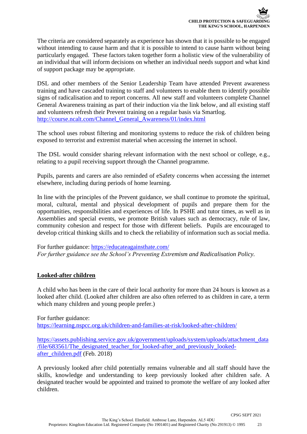The criteria are considered separately as experience has shown that it is possible to be engaged without intending to cause harm and that it is possible to intend to cause harm without being particularly engaged. These factors taken together form a holistic view of the vulnerability of an individual that will inform decisions on whether an individual needs support and what kind of support package may be appropriate.

DSL and other members of the Senior Leadership Team have attended Prevent awareness training and have cascaded training to staff and volunteers to enable them to identify possible signs of radicalisation and to report concerns. All new staff and volunteers complete Channel General Awareness training as part of their induction via the link below, and all existing staff and volunteers refresh their Prevent training on a regular basis via Smartlog. [http://course.ncalt.com/Channel\\_General\\_Awareness/01/index.html](http://course.ncalt.com/Channel_General_Awareness/01/index.html)

The school uses robust filtering and monitoring systems to reduce the risk of children being exposed to terrorist and extremist material when accessing the internet in school.

The DSL would consider sharing relevant information with the next school or college, e.g., relating to a pupil receiving support through the Channel programme.

Pupils, parents and carers are also reminded of eSafety concerns when accessing the internet elsewhere, including during periods of home learning.

In line with the principles of the Prevent guidance, we shall continue to promote the spiritual, moral, cultural, mental and physical development of pupils and prepare them for the opportunities, responsibilities and experiences of life. In PSHE and tutor times, as well as in Assemblies and special events, we promote British values such as democracy, rule of law, community cohesion and respect for those with different beliefs. Pupils are encouraged to develop critical thinking skills and to check the reliability of information such as social media.

For further guidance: <https://educateagainsthate.com/> *For further guidance see the School's Preventing Extremism and Radicalisation Policy.*

### **Looked-after children**

A child who has been in the care of their local authority for more than 24 hours is known as a looked after child. (Looked after children are also often referred to as children in care, a term which many children and young people prefer.)

For further guidance: https://learning.nspcc.org.uk/children-and-families-at-risk/looked-after-children/

[https://assets.publishing.service.gov.uk/government/uploads/system/uploads/attachment\\_data](https://assets.publishing.service.gov.uk/government/uploads/system/uploads/attachment_data/file/683561/The_designated_teacher_for_looked-after_and_previously_looked-after_children.pdf) [/file/683561/The\\_designated\\_teacher\\_for\\_looked-after\\_and\\_previously\\_looked](https://assets.publishing.service.gov.uk/government/uploads/system/uploads/attachment_data/file/683561/The_designated_teacher_for_looked-after_and_previously_looked-after_children.pdf)[after\\_children.pdf](https://assets.publishing.service.gov.uk/government/uploads/system/uploads/attachment_data/file/683561/The_designated_teacher_for_looked-after_and_previously_looked-after_children.pdf) (Feb. 2018)

A previously looked after child potentially remains vulnerable and all staff should have the skills, knowledge and understanding to keep previously looked after children safe. A designated teacher would be appointed and trained to promote the welfare of any looked after children.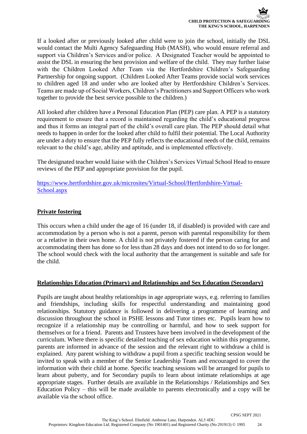If a looked after or previously looked after child were to join the school, initially the DSL would contact the Multi Agency Safeguarding Hub (MASH), who would ensure referral and support via Children's Services and/or police. A Designated Teacher would be appointed to assist the DSL in ensuring the best provision and welfare of the child. They may further liaise with the Children Looked After Team via the Hertfordshire Children's Safeguarding Partnership for ongoing support. (Children Looked After Teams provide social work services to children aged 18 and under who are looked after by Hertfordshire Children's Services. Teams are made up of Social Workers, Children's Practitioners and Support Officers who work together to provide the best service possible to the children.)

All looked after children have a Personal Education Plan (PEP) care plan. A PEP is a statutory requirement to ensure that a record is maintained regarding the child's educational progress and thus it forms an integral part of the child's overall care plan. The PEP should detail what needs to happen in order for the looked after child to fulfil their potential. The Local Authority are under a duty to ensure that the PEP fully reflects the educational needs of the child, remains relevant to the child's age, ability and aptitude, and is implemented effectively.

The designated teacher would liaise with the Children's Services Virtual School Head to ensure reviews of the PEP and appropriate provision for the pupil.

[https://www.hertfordshire.gov.uk/microsites/Virtual-School/Hertfordshire-Virtual-](https://www.hertfordshire.gov.uk/microsites/Virtual-School/Hertfordshire-Virtual-School.aspx)[School.aspx](https://www.hertfordshire.gov.uk/microsites/Virtual-School/Hertfordshire-Virtual-School.aspx)

### **Private fostering**

This occurs when a child under the age of 16 (under 18, if disabled) is provided with care and accommodation by a person who is not a parent, person with parental responsibility for them or a relative in their own home. A child is not privately fostered if the person caring for and accommodating them has done so for less than 28 days and does not intend to do so for longer. The school would check with the local authority that the arrangement is suitable and safe for the child.

### **Relationships Education (Primary) and Relationships and Sex Education (Secondary)**

Pupils are taught about healthy relationships in age appropriate ways, e.g. referring to families and friendships, including skills for respectful understanding and maintaining good relationships. Statutory guidance is followed in delivering a programme of learning and discussion throughout the school in PSHE lessons and Tutor times etc. Pupils learn how to recognize if a relationship may be controlling or harmful, and how to seek support for themselves or for a friend. Parents and Trustees have been involved in the development of the curriculum. Where there is specific detailed teaching of sex education within this programme, parents are informed in advance of the session and the relevant right to withdraw a child is explained. Any parent wishing to withdraw a pupil from a specific teaching session would be invited to speak with a member of the Senior Leadership Team and encouraged to cover the information with their child at home. Specific teaching sessions will be arranged for pupils to learn about puberty, and for Secondary pupils to learn about intimate relationships at age appropriate stages. Further details are available in the Relationships / Relationships and Sex Education Policy – this will be made available to parents electronically and a copy will be available via the school office.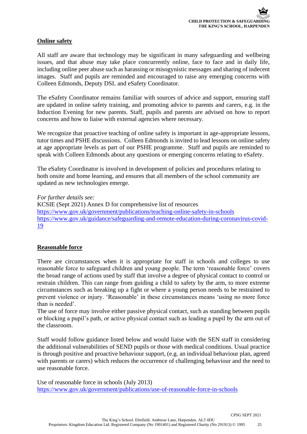### **Online safety**

All staff are aware that technology may be significant in many safeguarding and wellbeing issues, and that abuse may take place concurrently online, face to face and in daily life, including online peer abuse such as harassing or misogynistic messages and sharing of indecent images. Staff and pupils are reminded and encouraged to raise any emerging concerns with Colleen Edmonds, Deputy DSL and eSafety Coordinator.

The eSafety Coordinator remains familiar with sources of advice and support, ensuring staff are updated in online safety training, and promoting advice to parents and carers, e.g. in the Induction Evening for new parents. Staff, pupils and parents are advised on how to report concerns and how to liaise with external agencies where necessary.

We recognize that proactive teaching of online safety is important in age-appropriate lessons, tutor times and PSHE discussions. Colleen Edmonds is invited to lead lessons on online safety at age appropriate levels as part of our PSHE programme. Staff and pupils are reminded to speak with Colleen Edmonds about any questions or emerging concerns relating to eSafety.

The eSafety Coordinator is involved in development of policies and procedures relating to both onsite and home learning, and ensures that all members of the school community are updated as new technologies emerge.

*For further details see:* KCSIE (Sept 2021) Annex D for comprehensive list of resources <https://www.gov.uk/government/publications/teaching-online-safety-in-schools> [https://www.gov.uk/guidance/safeguarding-and-remote-education-during-coronavirus-covid-](https://www.gov.uk/guidance/safeguarding-and-remote-education-during-coronavirus-covid-19)[19](https://www.gov.uk/guidance/safeguarding-and-remote-education-during-coronavirus-covid-19)

### **Reasonable force**

There are circumstances when it is appropriate for staff in schools and colleges to use reasonable force to safeguard children and young people. The term 'reasonable force' covers the broad range of actions used by staff that involve a degree of physical contact to control or restrain children. This can range from guiding a child to safety by the arm, to more extreme circumstances such as breaking up a fight or where a young person needs to be restrained to prevent violence or injury. 'Reasonable' in these circumstances means 'using no more force than is needed'.

The use of force may involve either passive physical contact, such as standing between pupils or blocking a pupil's path, or active physical contact such as leading a pupil by the arm out of the classroom.

Staff would follow guidance listed below and would liaise with the SEN staff in considering the additional vulnerabilities of SEND pupils or those with medical conditions. Usual practice is through positive and proactive behaviour support, (e.g. an individual behaviour plan, agreed with parents or carers) which reduces the occurrence of challenging behaviour and the need to use reasonable force.

Use of reasonable force in schools (July 2013) <https://www.gov.uk/government/publications/use-of-reasonable-force-in-schools>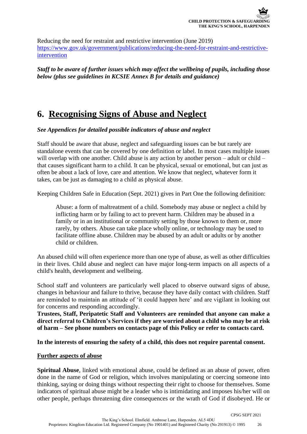Reducing the need for restraint and restrictive intervention (June 2019) [https://www.gov.uk/government/publications/reducing-the-need-for-restraint-and-restrictive](https://www.gov.uk/government/publications/reducing-the-need-for-restraint-and-restrictive-intervention)[intervention](https://www.gov.uk/government/publications/reducing-the-need-for-restraint-and-restrictive-intervention) 

*Staff to be aware of further issues which may affect the wellbeing of pupils, including those below (plus see guidelines in KCSIE Annex B for details and guidance)*

### **6. Recognising Signs of Abuse and Neglect**

*See Appendices for detailed possible indicators of abuse and neglect* 

Staff should be aware that abuse, neglect and safeguarding issues can be but rarely are standalone events that can be covered by one definition or label. In most cases multiple issues will overlap with one another. Child abuse is any action by another person – adult or child – that causes significant harm to a child. It can be physical, sexual or emotional, but can just as often be about a lack of love, care and attention. We know that neglect, whatever form it takes, can be just as damaging to a child as physical abuse.

Keeping Children Safe in Education (Sept. 2021) gives in Part One the following definition:

Abuse: a form of maltreatment of a child. Somebody may abuse or neglect a child by inflicting harm or by failing to act to prevent harm. Children may be abused in a family or in an institutional or community setting by those known to them or, more rarely, by others. Abuse can take place wholly online, or technology may be used to facilitate offline abuse. Children may be abused by an adult or adults or by another child or children.

An abused child will often experience more than one type of abuse, as well as other difficulties in their lives. Child abuse and neglect can have major long-term impacts on all aspects of a child's health, development and wellbeing.

School staff and volunteers are particularly well placed to observe outward signs of abuse, changes in behaviour and failure to thrive, because they have daily contact with children. Staff are reminded to maintain an attitude of 'it could happen here' and are vigilant in looking out for concerns and responding accordingly.

**Trustees, Staff, Peripatetic Staff and Volunteers are reminded that anyone can make a direct referral to Children's Services if they are worried about a child who may be at risk of harm – See phone numbers on contacts page of this Policy or refer to contacts card.**

**In the interests of ensuring the safety of a child, this does not require parental consent.**

### **Further aspects of abuse**

**Spiritual Abuse**, linked with emotional abuse, could be defined as an abuse of power, often done in the name of God or religion, which involves manipulating or coercing someone into thinking, saying or doing things without respecting their right to choose for themselves. Some indicators of spiritual abuse might be a leader who is intimidating and imposes his/her will on other people, perhaps threatening dire consequences or the wrath of God if disobeyed. He or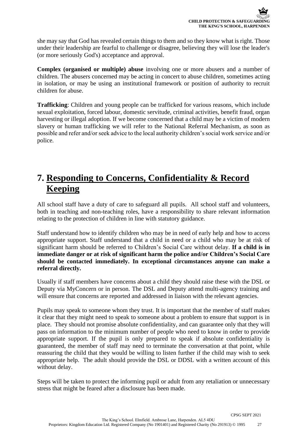she may say that God has revealed certain things to them and so they know what is right. Those under their leadership are fearful to challenge or disagree, believing they will lose the leader's (or more seriously God's) acceptance and approval.

**Complex (organised or multiple) abuse** involving one or more abusers and a number of children. The abusers concerned may be acting in concert to abuse children, sometimes acting in isolation, or may be using an institutional framework or position of authority to recruit children for abuse.

**Trafficking**: Children and young people can be trafficked for various reasons, which include sexual exploitation, forced labour, domestic servitude, criminal activities, benefit fraud, organ harvesting or illegal adoption. If we become concerned that a child may be a victim of modern slavery or human trafficking we will refer to the National Referral Mechanism, as soon as possible and refer and/or seek advice to the local authority children's social work service and/or police.

### **7. Responding to Concerns, Confidentiality & Record Keeping**

All school staff have a duty of care to safeguard all pupils. All school staff and volunteers, both in teaching and non-teaching roles, have a responsibility to share relevant information relating to the protection of children in line with statutory guidance.

Staff understand how to identify children who may be in need of early help and how to access appropriate support. Staff understand that a child in need or a child who may be at risk of significant harm should be referred to Children's Social Care without delay. **If a child is in immediate danger or at risk of significant harm the police and/or Children's Social Care should be contacted immediately. In exceptional circumstances anyone can make a referral directly.**

Usually if staff members have concerns about a child they should raise these with the DSL or Deputy via MyConcern or in person. The DSL and Deputy attend multi-agency training and will ensure that concerns are reported and addressed in liaison with the relevant agencies.

Pupils may speak to someone whom they trust. It is important that the member of staff makes it clear that they might need to speak to someone about a problem to ensure that support is in place. They should not promise absolute confidentiality, and can guarantee only that they will pass on information to the minimum number of people who need to know in order to provide appropriate support. If the pupil is only prepared to speak if absolute confidentiality is guaranteed, the member of staff may need to terminate the conversation at that point, while reassuring the child that they would be willing to listen further if the child may wish to seek appropriate help. The adult should provide the DSL or DDSL with a written account of this without delay.

Steps will be taken to protect the informing pupil or adult from any retaliation or unnecessary stress that might be feared after a disclosure has been made.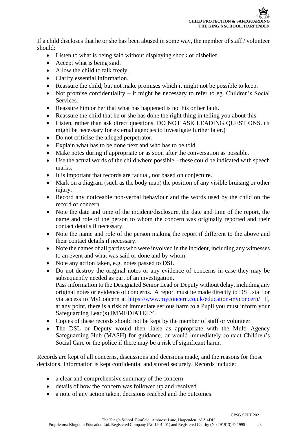If a child discloses that he or she has been abused in some way, the member of staff / volunteer should:

- Listen to what is being said without displaying shock or disbelief.
- Accept what is being said.
- Allow the child to talk freely.
- Clarify essential information.
- Reassure the child, but not make promises which it might not be possible to keep.
- Not promise confidentiality it might be necessary to refer to eg. Children's Social Services.
- Reassure him or her that what has happened is not his or her fault.
- Reassure the child that he or she has done the right thing in telling you about this.
- Listen, rather than ask direct questions. DO NOT ASK LEADING QUESTIONS. (It might be necessary for external agencies to investigate further later.)
- Do not criticise the alleged perpetrator.
- Explain what has to be done next and who has to be told.
- Make notes during if appropriate or as soon after the conversation as possible.
- Use the actual words of the child where possible these could be indicated with speech marks.
- It is important that records are factual, not based on conjecture.
- Mark on a diagram (such as the body map) the position of any visible bruising or other injury.
- Record any noticeable non-verbal behaviour and the words used by the child on the record of concern.
- Note the date and time of the incident/disclosure, the date and time of the report, the name and role of the person to whom the concern was originally reported and their contact details if necessary.
- Note the name and role of the person making the report if different to the above and their contact details if necessary.
- Note the names of all parties who were involved in the incident, including any witnesses to an event and what was said or done and by whom.
- Note any action taken, e.g. notes passed to DSL.
- Do not destroy the original notes or any evidence of concerns in case they may be subsequently needed as part of an investigation. Pass information to the Designated Senior Lead or Deputy without delay, including any original notes or evidence of concerns. A report must be made directly to DSL staff or via access to MyConcern at <https://www.myconcern.co.uk/education-myconcern/>If, at any point, there is a risk of immediate serious harm to a Pupil you must inform your Safeguarding Lead(s) IMMEDIATELY.
- Copies of these records should not be kept by the member of staff or volunteer.
- The DSL or Deputy would then liaise as appropriate with the Multi Agency Safeguarding Hub (MASH) for guidance, or would immediately contact Children's Social Care or the police if there may be a risk of significant harm.

Records are kept of all concerns, discussions and decisions made, and the reasons for those decisions. Information is kept confidential and stored securely. Records include:

- a clear and comprehensive summary of the concern
- details of how the concern was followed up and resolved
- a note of any action taken, decisions reached and the outcomes.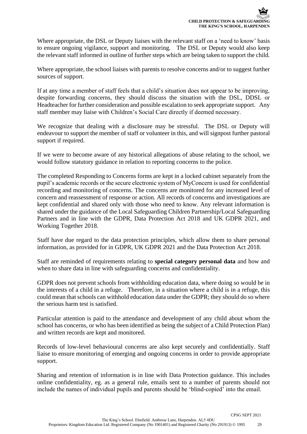Where appropriate, the DSL or Deputy liaises with the relevant staff on a 'need to know' basis to ensure ongoing vigilance, support and monitoring. The DSL or Deputy would also keep the relevant staff informed in outline of further steps which are being taken to support the child.

Where appropriate, the school liaises with parents to resolve concerns and/or to suggest further sources of support.

If at any time a member of staff feels that a child's situation does not appear to be improving, despite forwarding concerns, they should discuss the situation with the DSL, DDSL or Headteacher for further consideration and possible escalation to seek appropriate support. Any staff member may liaise with Children's Social Care directly if deemed necessary.

We recognize that dealing with a disclosure may be stressful. The DSL or Deputy will endeavour to support the member of staff or volunteer in this, and will signpost further pastoral support if required.

If we were to become aware of any historical allegations of abuse relating to the school, we would follow statutory guidance in relation to reporting concerns to the police.

The completed Responding to Concerns forms are kept in a locked cabinet separately from the pupil's academic records or the secure electronic system of MyConcern is used for confidential recording and monitoring of concerns. The concerns are monitored for any increased level of concern and reassessment of response or action. All records of concerns and investigations are kept confidential and shared only with those who need to know. Any relevant information is shared under the guidance of the Local Safeguarding Children Partnership/Local Safeguarding Partners and in line with the GDPR, Data Protection Act 2018 and UK GDPR 2021, and Working Together 2018.

Staff have due regard to the data protection principles, which allow them to share personal information, as provided for in GDPR, UK GDPR 2021 and the Data Protection Act 2018.

Staff are reminded of requirements relating to **special category personal data** and how and when to share data in line with safeguarding concerns and confidentiality.

GDPR does not prevent schools from withholding education data, where doing so would be in the interests of a child in a refuge. Therefore, in a situation where a child is in a refuge, this could mean that schools can withhold education data under the GDPR; they should do so where the serious harm test is satisfied.

Particular attention is paid to the attendance and development of any child about whom the school has concerns, or who has been identified as being the subject of a Child Protection Plan) and written records are kept and monitored.

Records of low-level behavioural concerns are also kept securely and confidentially. Staff liaise to ensure monitoring of emerging and ongoing concerns in order to provide appropriate support.

Sharing and retention of information is in line with Data Protection guidance. This includes online confidentiality, eg. as a general rule, emails sent to a number of parents should not include the names of individual pupils and parents should be 'blind-copied' into the email.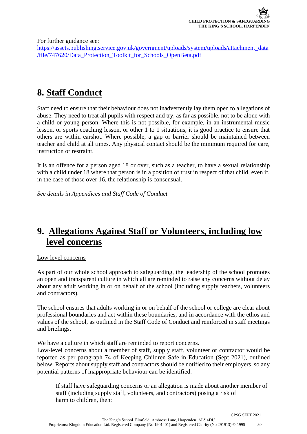For further guidance see:

[https://assets.publishing.service.gov.uk/government/uploads/system/uploads/attachment\\_data](https://assets.publishing.service.gov.uk/government/uploads/system/uploads/attachment_data/file/747620/Data_Protection_Toolkit_for_Schools_OpenBeta.pdf) [/file/747620/Data\\_Protection\\_Toolkit\\_for\\_Schools\\_OpenBeta.pdf](https://assets.publishing.service.gov.uk/government/uploads/system/uploads/attachment_data/file/747620/Data_Protection_Toolkit_for_Schools_OpenBeta.pdf)

### **8. Staff Conduct**

Staff need to ensure that their behaviour does not inadvertently lay them open to allegations of abuse. They need to treat all pupils with respect and try, as far as possible, not to be alone with a child or young person. Where this is not possible, for example, in an instrumental music lesson, or sports coaching lesson, or other 1 to 1 situations, it is good practice to ensure that others are within earshot. Where possible, a gap or barrier should be maintained between teacher and child at all times. Any physical contact should be the minimum required for care, instruction or restraint.

It is an offence for a person aged 18 or over, such as a teacher, to have a sexual relationship with a child under 18 where that person is in a position of trust in respect of that child, even if, in the case of those over 16, the relationship is consensual.

*See details in Appendices and Staff Code of Conduct* 

### **9. Allegations Against Staff or Volunteers, including low level concerns**

### Low level concerns

As part of our whole school approach to safeguarding, the leadership of the school promotes an open and transparent culture in which all are reminded to raise any concerns without delay about any adult working in or on behalf of the school (including supply teachers, volunteers and contractors).

The school ensures that adults working in or on behalf of the school or college are clear about professional boundaries and act within these boundaries, and in accordance with the ethos and values of the school, as outlined in the Staff Code of Conduct and reinforced in staff meetings and briefings.

We have a culture in which staff are reminded to report concerns.

Low-level concerns about a member of staff, supply staff, volunteer or contractor would be reported as per paragraph 74 of Keeping Children Safe in Education (Sept 2021), outlined below. Reports about supply staff and contractors should be notified to their employers, so any potential patterns of inappropriate behaviour can be identified.

If staff have safeguarding concerns or an allegation is made about another member of staff (including supply staff, volunteers, and contractors) posing a risk of harm to children, then: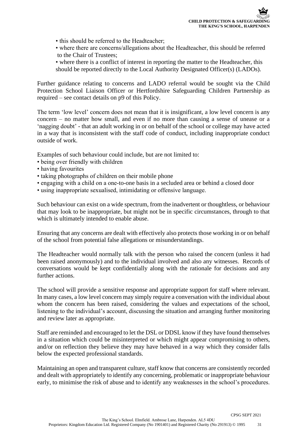- this should be referred to the Headteacher;
- where there are concerns/allegations about the Headteacher, this should be referred to the Chair of Trustees;
- where there is a conflict of interest in reporting the matter to the Headteacher, this should be reported directly to the Local Authority Designated Officer(s) (LADOs).

Further guidance relating to concerns and LADO referral would be sought via the Child Protection School Liaison Officer or Hertfordshire Safeguarding Children Partnership as required – see contact details on p9 of this Policy.

The term 'low level' concern does not mean that it is insignificant, a low level concern is any concern – no matter how small, and even if no more than causing a sense of unease or a 'nagging doubt' - that an adult working in or on behalf of the school or college may have acted in a way that is inconsistent with the staff code of conduct, including inappropriate conduct outside of work.

Examples of such behaviour could include, but are not limited to:

- being over friendly with children
- having favourites
- taking photographs of children on their mobile phone
- engaging with a child on a one-to-one basis in a secluded area or behind a closed door
- using inappropriate sexualised, intimidating or offensive language.

Such behaviour can exist on a wide spectrum, from the inadvertent or thoughtless, or behaviour that may look to be inappropriate, but might not be in specific circumstances, through to that which is ultimately intended to enable abuse.

Ensuring that any concerns are dealt with effectively also protects those working in or on behalf of the school from potential false allegations or misunderstandings.

The Headteacher would normally talk with the person who raised the concern (unless it had been raised anonymously) and to the individual involved and also any witnesses. Records of conversations would be kept confidentially along with the rationale for decisions and any further actions.

The school will provide a sensitive response and appropriate support for staff where relevant. In many cases, a low level concern may simply require a conversation with the individual about whom the concern has been raised, considering the values and expectations of the school, listening to the individual's account, discussing the situation and arranging further monitoring and review later as appropriate.

Staff are reminded and encouraged to let the DSL or DDSL know if they have found themselves in a situation which could be misinterpreted or which might appear compromising to others, and/or on reflection they believe they may have behaved in a way which they consider falls below the expected professional standards.

Maintaining an open and transparent culture, staff know that concerns are consistently recorded and dealt with appropriately to identify any concerning, problematic or inappropriate behaviour early, to minimise the risk of abuse and to identify any weaknesses in the school's procedures.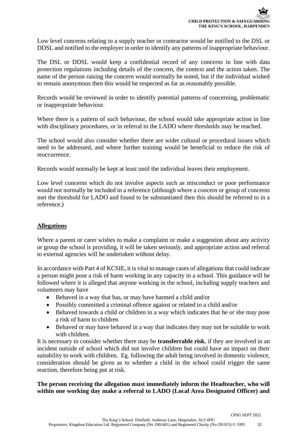Low level concerns relating to a supply teacher or contractor would be notified to the DSL or DDSL and notified to the employer in order to identify any patterns of inappropriate behaviour.

The DSL or DDSL would keep a confidential record of any concerns in line with data protection regulations including details of the concern, the context and the action taken. The name of the person raising the concern would normally be noted, but if the individual wished to remain anonymous then this would be respected as far as reasonably possible.

Records would be reviewed in order to identify potential patterns of concerning, problematic or inappropriate behaviour.

Where there is a pattern of such behaviour, the school would take appropriate action in line with disciplinary procedures, or in referral to the LADO where thresholds may be reached.

The school would also consider whether there are wider cultural or procedural issues which need to be addressed, and where further training would be beneficial to reduce the risk of reoccurrence.

Records would normally be kept at least until the individual leaves their employment.

Low level concerns which do not involve aspects such as misconduct or poor performance would not normally be included in a reference (although where a concern or group of concerns met the threshold for LADO and found to be substantiated then this should be referred to in a reference.)

### **Allegations**

Where a parent or carer wishes to make a complaint or make a suggestion about any activity or group the school is providing, it will be taken seriously, and appropriate action and referral to external agencies will be undertaken without delay.

In accordance with Part 4 of KCSIE, it is vital to manage cases of allegations that could indicate a person might pose a risk of harm working in any capacity in a school. This guidance will be followed where it is alleged that anyone working in the school, including supply teachers and volunteers may have

- Behaved in a way that has, or may have harmed a child and/or
- Possibly committed a criminal offence against or related to a child and/or
- Behaved towards a child or children in a way which indicates that he or she may pose a risk of harm to children
- Behaved or may have behaved in a way that indicates they may not be suitable to work with children.

It is necessary to consider whether there may be **transferrable risk**, if they are involved in an incident outside of school which did not involve children but could have an impact on their suitability to work with children. Eg. following the adult being involved in domestic violence, consideration should be given as to whether a child in the school could trigger the same reaction, therefore being put at risk.

**The person receiving the allegation must immediately inform the Headteacher, who will within one working day make a referral to LADO (Local Area Designated Officer) and**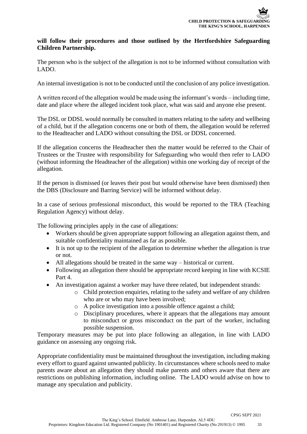### **will follow their procedures and those outlined by the Hertfordshire Safeguarding Children Partnership.**

The person who is the subject of the allegation is not to be informed without consultation with LADO.

An internal investigation is not to be conducted until the conclusion of any police investigation.

A written record of the allegation would be made using the informant's words – including time, date and place where the alleged incident took place, what was said and anyone else present.

The DSL or DDSL would normally be consulted in matters relating to the safety and wellbeing of a child, but if the allegation concerns one or both of them, the allegation would be referred to the Headteacher and LADO without consulting the DSL or DDSL concerned.

If the allegation concerns the Headteacher then the matter would be referred to the Chair of Trustees or the Trustee with responsibility for Safeguarding who would then refer to LADO (without informing the Headteacher of the allegation) within one working day of receipt of the allegation.

If the person is dismissed (or leaves their post but would otherwise have been dismissed) then the DBS (Disclosure and Barring Service) will be informed without delay.

In a case of serious professional misconduct, this would be reported to the TRA (Teaching Regulation Agency) without delay.

The following principles apply in the case of allegations:

- Workers should be given appropriate support following an allegation against them, and suitable confidentiality maintained as far as possible.
- It is not up to the recipient of the allegation to determine whether the allegation is true or not.
- All allegations should be treated in the same way historical or current.
- Following an allegation there should be appropriate record keeping in line with KCSIE Part 4.
- An investigation against a worker may have three related, but independent strands:
	- o Child protection enquiries, relating to the safety and welfare of any children who are or who may have been involved;
	- o A police investigation into a possible offence against a child;
	- o Disciplinary procedures, where it appears that the allegations may amount to misconduct or gross misconduct on the part of the worker, including possible suspension.

Temporary measures may be put into place following an allegation, in line with LADO guidance on assessing any ongoing risk.

Appropriate confidentiality must be maintained throughout the investigation, including making every effort to guard against unwanted publicity. In circumstances where schools need to make parents aware about an allegation they should make parents and others aware that there are restrictions on publishing information, including online. The LADO would advise on how to manage any speculation and publicity.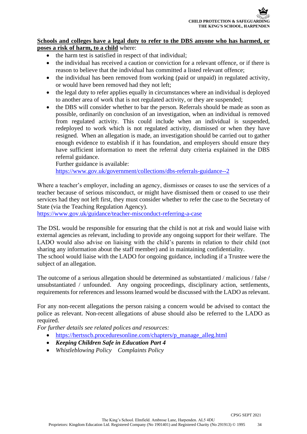### **Schools and colleges have a legal duty to refer to the DBS anyone who has harmed, or poses a risk of harm, to a child** where:

- the harm test is satisfied in respect of that individual;
- the individual has received a caution or conviction for a relevant offence, or if there is reason to believe that the individual has committed a listed relevant offence;
- the individual has been removed from working (paid or unpaid) in regulated activity, or would have been removed had they not left;
- the legal duty to refer applies equally in circumstances where an individual is deployed to another area of work that is not regulated activity, or they are suspended;
- the DBS will consider whether to bar the person. Referrals should be made as soon as possible, ordinarily on conclusion of an investigation, when an individual is removed from regulated activity. This could include when an individual is suspended, redeployed to work which is not regulated activity, dismissed or when they have resigned. When an allegation is made, an investigation should be carried out to gather enough evidence to establish if it has foundation, and employers should ensure they have sufficient information to meet the referral duty criteria explained in the DBS referral guidance.

Further guidance is available: <https://www.gov.uk/government/collections/dbs-referrals-guidance--2>

Where a teacher's employer, including an agency, dismisses or ceases to use the services of a teacher because of serious misconduct, or might have dismissed them or ceased to use their services had they not left first, they must consider whether to refer the case to the Secretary of State (via the Teaching Regulation Agency).

<https://www.gov.uk/guidance/teacher-misconduct-referring-a-case>

The DSL would be responsible for ensuring that the child is not at risk and would liaise with external agencies as relevant, including to provide any ongoing support for their welfare. The LADO would also advise on liaising with the child's parents in relation to their child (not sharing any information about the staff member) and in maintaining confidentiality.

The school would liaise with the LADO for ongoing guidance, including if a Trustee were the subject of an allegation.

The outcome of a serious allegation should be determined as substantiated / malicious / false / unsubstantiated / unfounded. Any ongoing proceedings, disciplinary action, settlements, requirements for references and lessons learned would be discussed with the LADO as relevant.

For any non-recent allegations the person raising a concern would be advised to contact the police as relevant. Non-recent allegations of abuse should also be referred to the LADO as required.

*For further details see related polices and resources:* 

- [https://hertsscb.proceduresonline.com/chapters/p\\_manage\\_alleg.html](https://hertsscb.proceduresonline.com/chapters/p_manage_alleg.html)
- *Keeping Children Safe in Education Part 4*
- *Whistleblowing Policy Complaints Policy*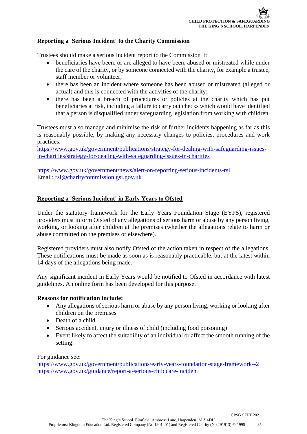### **Reporting a 'Serious Incident' to the Charity Commission**

Trustees should make a serious incident report to the Commission if:

- beneficiaries have been, or are alleged to have been, abused or mistreated while under the care of the charity, or by someone connected with the charity, for example a trustee, staff member or volunteer;
- there has been an incident where someone has been abused or mistreated (alleged or actual) and this is connected with the activities of the charity;
- there has been a breach of procedures or policies at the charity which has put beneficiaries at risk, including a failure to carry out checks which would have identified that a person is disqualified under safeguarding legislation from working with children.

Trustees must also manage and minimise the risk of further incidents happening as far as this is reasonably possible, by making any necessary changes to policies, procedures and work practices.

[https://www.gov.uk/government/publications/strategy-for-dealing-with-safeguarding-issues](https://www.gov.uk/government/publications/strategy-for-dealing-with-safeguarding-issues-in-charities/strategy-for-dealing-with-safeguarding-issues-in-charities)[in-charities/strategy-for-dealing-with-safeguarding-issues-in-charities](https://www.gov.uk/government/publications/strategy-for-dealing-with-safeguarding-issues-in-charities/strategy-for-dealing-with-safeguarding-issues-in-charities)

<https://www.gov.uk/government/news/alert-on-reporting-serious-incidents-rsi> Email: [rsi@charitycommission.gsi.gov.uk](mailto:rsi@charitycommission.gsi.gov.uk)

### **Reporting a 'Serious Incident' in Early Years to Ofsted**

Under the statutory framework for the Early Years Foundation Stage (EYFS), registered providers must inform Ofsted of any allegations of serious harm or abuse by any person living, working, or looking after children at the premises (whether the allegations relate to harm or abuse committed on the premises or elsewhere).

Registered providers must also notify Ofsted of the action taken in respect of the allegations. These notifications must be made as soon as is reasonably practicable, but at the latest within 14 days of the allegations being made.

Any significant incident in Early Years would be notified to Ofsted in accordance with latest guidelines. An online form has been developed for this purpose.

#### **Reasons for notification include:**

- Any allegations of serious harm or abuse by any person living, working or looking after children on the premises
- Death of a child
- Serious accident, injury or illness of child (including food poisoning)
- Event likely to affect the suitability of an individual or affect the smooth running of the setting.

For guidance see:

<https://www.gov.uk/government/publications/early-years-foundation-stage-framework--2> <https://www.gov.uk/guidance/report-a-serious-childcare-incident>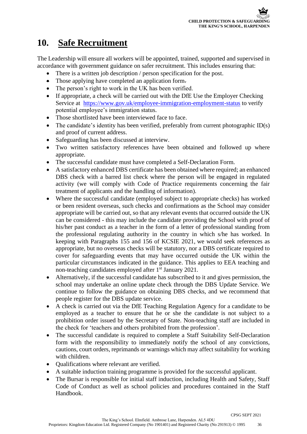### **10. Safe Recruitment**

The Leadership will ensure all workers will be appointed, trained, supported and supervised in accordance with government guidance on safer recruitment. This includes ensuring that:

- There is a written job description / person specification for the post.
- Those applying have completed an application form.
- The person's right to work in the UK has been verified.
- If appropriate, a check will be carried out with the DfE Use the Employer Checking Service at <https://www.gov.uk/employee-immigration-employment-status> to verify potential employee's immigration status.
- Those shortlisted have been interviewed face to face.
- The candidate's identity has been verified, preferably from current photographic ID(s) and proof of current address.
- Safeguarding has been discussed at interview.
- Two written satisfactory references have been obtained and followed up where appropriate.
- The successful candidate must have completed a Self-Declaration Form.
- A satisfactory enhanced DBS certificate has been obtained where required; an enhanced DBS check with a barred list check where the person will be engaged in regulated activity (we will comply with Code of Practice requirements concerning the fair treatment of applicants and the handling of information).
- Where the successful candidate (employed subject to appropriate checks) has worked or been resident overseas, such checks and confirmations as the School may consider appropriate will be carried out, so that any relevant events that occurred outside the UK can be considered - this may include the candidate providing the School with proof of his/her past conduct as a teacher in the form of a letter of professional standing from the professional regulating authority in the country in which s/he has worked. In keeping with Paragraphs 155 and 156 of KCSIE 2021, we would seek references as appropriate, but no overseas checks will be statutory, nor a DBS certificate required to cover for safeguarding events that may have occurred outside the UK within the particular circumstances indicated in the guidance. This applies to EEA teaching and non-teaching candidates employed after 1<sup>st</sup> January 2021.
- Alternatively, if the successful candidate has subscribed to it and gives permission, the school may undertake an online update check through the DBS Update Service. We continue to follow the guidance on obtaining DBS checks, and we recommend that people register for the DBS update service.
- A check is carried out via the DfE Teaching Regulation Agency for a candidate to be employed as a teacher to ensure that he or she the candidate is not subject to a prohibition order issued by the Secretary of State. Non-teaching staff are included in the check for 'teachers and others prohibited from the profession'.
- The successful candidate is required to complete a Staff Suitability Self-Declaration form with the responsibility to immediately notify the school of any convictions, cautions, court orders, reprimands or warnings which may affect suitability for working with children.
- Oualifications where relevant are verified.
- A suitable induction training programme is provided for the successful applicant.
- The Bursar is responsible for initial staff induction, including Health and Safety, Staff Code of Conduct as well as school policies and procedures contained in the Staff Handbook.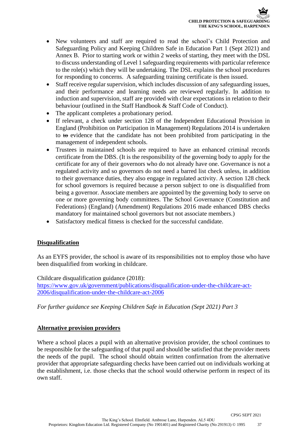- New volunteers and staff are required to read the school's Child Protection and Safeguarding Policy and Keeping Children Safe in Education Part 1 (Sept 2021) and Annex B. Prior to starting work or within 2 weeks of starting, they meet with the DSL to discuss understanding of Level 1 safeguarding requirements with particular reference to the role(s) which they will be undertaking. The DSL explains the school procedures for responding to concerns. A safeguarding training certificate is then issued.
- Staff receive regular supervision, which includes discussion of any safeguarding issues, and their performance and learning needs are reviewed regularly. In addition to induction and supervision, staff are provided with clear expectations in relation to their behaviour (outlined in the Staff Handbook & Staff Code of Conduct).
- The applicant completes a probationary period.
- If relevant, a check under section 128 of the Independent Educational Provision in England (Prohibition on Participation in Management) Regulations 2014 is undertaken to to evidence that the candidate has not been prohibited from participating in the management of independent schools.
- Trustees in maintained schools are required to have an enhanced criminal records certificate from the DBS. (It is the responsibility of the governing body to apply for the certificate for any of their governors who do not already have one. Governance is not a regulated activity and so governors do not need a barred list check unless, in addition to their governance duties, they also engage in regulated activity. A section 128 check for school governors is required because a person subject to one is disqualified from being a governor. Associate members are appointed by the governing body to serve on one or more governing body committees. The School Governance (Constitution and Federations) (England) (Amendment) Regulations 2016 made enhanced DBS checks mandatory for maintained school governors but not associate members.)
- Satisfactory medical fitness is checked for the successful candidate.

### **Disqualification**

As an EYFS provider, the school is aware of its responsibilities not to employ those who have been disqualified from working in childcare.

Childcare disqualification guidance (2018):

[https://www.gov.uk/government/publications/disqualification-under-the-childcare-act-](https://www.gov.uk/government/publications/disqualification-under-the-childcare-act-2006/disqualification-under-the-childcare-act-2006)[2006/disqualification-under-the-childcare-act-2006](https://www.gov.uk/government/publications/disqualification-under-the-childcare-act-2006/disqualification-under-the-childcare-act-2006)

*For further guidance see Keeping Children Safe in Education (Sept 2021) Part 3* 

### **Alternative provision providers**

Where a school places a pupil with an alternative provision provider, the school continues to be responsible for the safeguarding of that pupil and should be satisfied that the provider meets the needs of the pupil. The school should obtain written confirmation from the alternative provider that appropriate safeguarding checks have been carried out on individuals working at the establishment, i.e. those checks that the school would otherwise perform in respect of its own staff.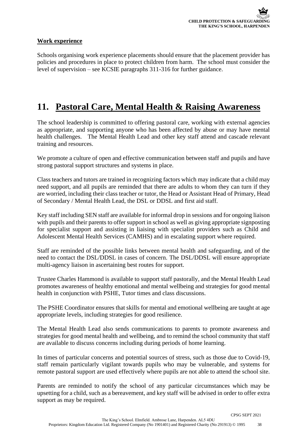### **Work experience**

Schools organising work experience placements should ensure that the placement provider has policies and procedures in place to protect children from harm. The school must consider the level of supervision – see KCSIE paragraphs 311-316 for further guidance.

### **11. Pastoral Care, Mental Health & Raising Awareness**

The school leadership is committed to offering pastoral care, working with external agencies as appropriate, and supporting anyone who has been affected by abuse or may have mental health challenges. The Mental Health Lead and other key staff attend and cascade relevant training and resources.

We promote a culture of open and effective communication between staff and pupils and have strong pastoral support structures and systems in place.

Class teachers and tutors are trained in recognizing factors which may indicate that a child may need support, and all pupils are reminded that there are adults to whom they can turn if they are worried, including their class teacher or tutor, the Head or Assistant Head of Primary, Head of Secondary / Mental Health Lead, the DSL or DDSL and first aid staff.

Key staff including SEN staff are available for informal drop in sessions and for ongoing liaison with pupils and their parents to offer support in school as well as giving appropriate signposting for specialist support and assisting in liaising with specialist providers such as Child and Adolescent Mental Health Services (CAMHS) and in escalating support where required.

Staff are reminded of the possible links between mental health and safeguarding, and of the need to contact the DSL/DDSL in cases of concern. The DSL/DDSL will ensure appropriate multi-agency liaison in ascertaining best routes for support.

Trustee Charles Hammond is available to support staff pastorally, and the Mental Health Lead promotes awareness of healthy emotional and mental wellbeing and strategies for good mental health in conjunction with PSHE, Tutor times and class discussions.

The PSHE Coordinator ensures that skills for mental and emotional wellbeing are taught at age appropriate levels, including strategies for good resilience.

The Mental Health Lead also sends communications to parents to promote awareness and strategies for good mental health and wellbeing, and to remind the school community that staff are available to discuss concerns including during periods of home learning.

In times of particular concerns and potential sources of stress, such as those due to Covid-19, staff remain particularly vigilant towards pupils who may be vulnerable, and systems for remote pastoral support are used effectively where pupils are not able to attend the school site.

Parents are reminded to notify the school of any particular circumstances which may be upsetting for a child, such as a bereavement, and key staff will be advised in order to offer extra support as may be required.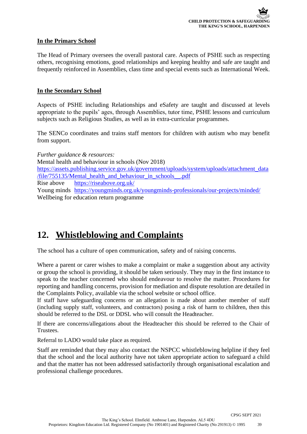### **In the Primary School**

The Head of Primary oversees the overall pastoral care. Aspects of PSHE such as respecting others, recognising emotions, good relationships and keeping healthy and safe are taught and frequently reinforced in Assemblies, class time and special events such as International Week.

### **In the Secondary School**

Aspects of PSHE including Relationships and eSafety are taught and discussed at levels appropriate to the pupils' ages, through Assemblies, tutor time, PSHE lessons and curriculum subjects such as Religious Studies, as well as in extra-curricular programmes.

The SENCo coordinates and trains staff mentors for children with autism who may benefit from support.

*Further guidance & resources:* Mental health and behaviour in schools (Nov 2018) [https://assets.publishing.service.gov.uk/government/uploads/system/uploads/attachment\\_data](https://assets.publishing.service.gov.uk/government/uploads/system/uploads/attachment_data/file/755135/Mental_health_and_behaviour_in_schools__.pdf) [/file/755135/Mental\\_health\\_and\\_behaviour\\_in\\_schools\\_\\_.pdf](https://assets.publishing.service.gov.uk/government/uploads/system/uploads/attachment_data/file/755135/Mental_health_and_behaviour_in_schools__.pdf) Rise above <https://riseabove.org.uk/> Young minds <https://youngminds.org.uk/youngminds-professionals/our-projects/minded/> Wellbeing for education return programme

### **12. Whistleblowing and Complaints**

The school has a culture of open communication, safety and of raising concerns.

Where a parent or carer wishes to make a complaint or make a suggestion about any activity or group the school is providing, it should be taken seriously. They may in the first instance to speak to the teacher concerned who should endeavour to resolve the matter. Procedures for reporting and handling concerns, provision for mediation and dispute resolution are detailed in the Complaints Policy, available via the school website or school office.

If staff have safeguarding concerns or an allegation is made about another member of staff (including supply staff, volunteers, and contractors) posing a risk of harm to children, then this should be referred to the DSL or DDSL who will consult the Headteacher.

If there are concerns/allegations about the Headteacher this should be referred to the Chair of Trustees.

Referral to LADO would take place as required.

Staff are reminded that they may also contact the NSPCC whistleblowing helpline if they feel that the school and the local authority have not taken appropriate action to safeguard a child and that the matter has not been addressed satisfactorily through organisational escalation and professional challenge procedures.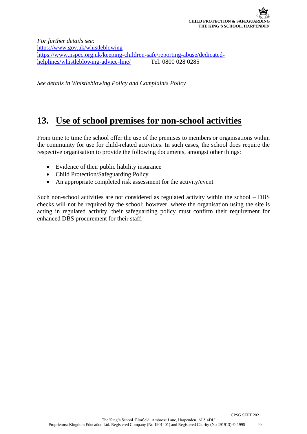*For further details see:*  <https://www.gov.uk/whistleblowing> https://www.nspcc.org.uk/keeping-children-safe/reporting-abuse/dedicated-<br>helplines/whistleblowing-advice-line/ Tel. 0800 028 0285 helplines/whistleblowing-advice-line/

*See details in Whistleblowing Policy and Complaints Policy*

### **13. Use of school premises for non-school activities**

From time to time the school offer the use of the premises to members or organisations within the community for use for child-related activities. In such cases, the school does require the respective organisation to provide the following documents, amongst other things:

- Evidence of their public liability insurance
- Child Protection/Safeguarding Policy
- An appropriate completed risk assessment for the activity/event

Such non-school activities are not considered as regulated activity within the school – DBS checks will not be required by the school; however, where the organisation using the site is acting in regulated activity, their safeguarding policy must confirm their requirement for enhanced DBS procurement for their staff.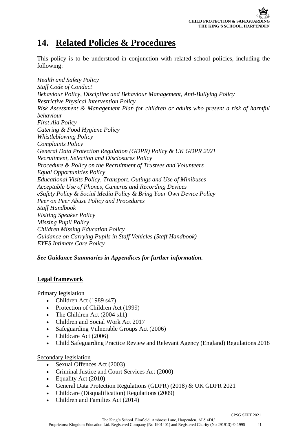### **14. Related Policies & Procedures**

This policy is to be understood in conjunction with related school policies, including the following:

*Health and Safety Policy Staff Code of Conduct Behaviour Policy, Discipline and Behaviour Management, Anti-Bullying Policy Restrictive Physical Intervention Policy Risk Assessment & Management Plan for children or adults who present a risk of harmful behaviour First Aid Policy Catering & Food Hygiene Policy Whistleblowing Policy Complaints Policy General Data Protection Regulation (GDPR) Policy & UK GDPR 2021 Recruitment, Selection and Disclosures Policy Procedure & Policy on the Recruitment of Trustees and Volunteers Equal Opportunities Policy Educational Visits Policy, Transport, Outings and Use of Minibuses Acceptable Use of Phones, Cameras and Recording Devices eSafety Policy & Social Media Policy & Bring Your Own Device Policy Peer on Peer Abuse Policy and Procedures Staff Handbook Visiting Speaker Policy Missing Pupil Policy Children Missing Education Policy Guidance on Carrying Pupils in Staff Vehicles (Staff Handbook) EYFS Intimate Care Policy*

### *See Guidance Summaries in Appendices for further information.*

### **Legal framework**

Primary legislation

- Children Act (1989 s47)
- Protection of Children Act (1999)
- The Children Act (2004 s11)
- Children and Social Work Act 2017
- Safeguarding Vulnerable Groups Act (2006)
- Childcare Act (2006)
- Child Safeguarding Practice Review and Relevant Agency (England) Regulations 2018

#### Secondary legislation

- Sexual Offences Act (2003)
- Criminal Justice and Court Services Act (2000)
- Equality Act (2010)
- General Data Protection Regulations (GDPR) (2018) & UK GDPR 2021
- Childcare (Disqualification) Regulations (2009)
- Children and Families Act (2014)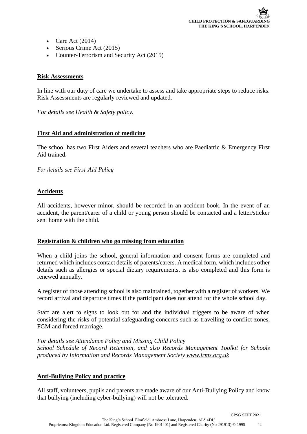- Care Act  $(2014)$
- Serious Crime Act (2015)
- Counter-Terrorism and Security Act (2015)

#### **Risk Assessments**

In line with our duty of care we undertake to assess and take appropriate steps to reduce risks. Risk Assessments are regularly reviewed and updated.

*For details see Health & Safety policy.*

### **First Aid and administration of medicine**

The school has two First Aiders and several teachers who are Paediatric & Emergency First Aid trained.

*For details see First Aid Policy*

### **Accidents**

All accidents, however minor, should be recorded in an accident book. In the event of an accident, the parent/carer of a child or young person should be contacted and a letter/sticker sent home with the child.

#### **Registration & children who go missing from education**

When a child joins the school, general information and consent forms are completed and returned which includes contact details of parents/carers. A medical form, which includes other details such as allergies or special dietary requirements, is also completed and this form is renewed annually.

A register of those attending school is also maintained, together with a register of workers. We record arrival and departure times if the participant does not attend for the whole school day.

Staff are alert to signs to look out for and the individual triggers to be aware of when considering the risks of potential safeguarding concerns such as travelling to conflict zones, FGM and forced marriage.

*For details see Attendance Policy and Missing Child Policy School Schedule of Record Retention, and also Records Management Toolkit for Schools produced by Information and Records Management Society [www.irms.org.uk](http://www.irms.org.uk/)*

#### **Anti-Bullying Policy and practice**

All staff, volunteers, pupils and parents are made aware of our Anti-Bullying Policy and know that bullying (including cyber-bullying) will not be tolerated.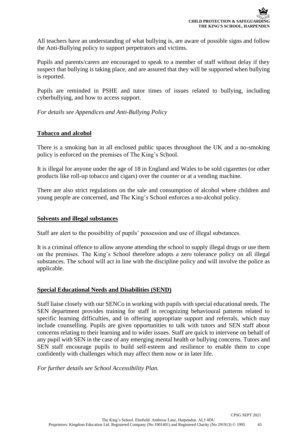All teachers have an understanding of what bullying is, are aware of possible signs and follow the Anti-Bullying policy to support perpetrators and victims.

Pupils and parents/carers are encouraged to speak to a member of staff without delay if they suspect that bullying is taking place, and are assured that they will be supported when bullying is reported.

Pupils are reminded in PSHE and tutor times of issues related to bullying, including cyberbullying, and how to access support.

*For details see Appendices and Anti-Bullying Policy*

### **Tobacco and alcohol**

There is a smoking ban in all enclosed public spaces throughout the UK and a no-smoking policy is enforced on the premises of The King's School.

It is illegal for anyone under the age of 18 in England and Wales to be sold cigarettes (or other products like roll-up tobacco and cigars) over the counter or at a vending machine.

There are also strict regulations on the sale and consumption of alcohol where children and young people are concerned, and The King's School enforces a no-alcohol policy.

### **Solvents and illegal substances**

Staff are alert to the possibility of pupils' possession and use of illegal substances.

It is a criminal offence to allow anyone attending the school to supply illegal drugs or use them on the premises. The King's School therefore adopts a zero tolerance policy on all illegal substances. The school will act in line with the discipline policy and will involve the police as applicable.

#### **Special Educational Needs and Disabilities (SEND)**

Staff liaise closely with our SENCo in working with pupils with special educational needs. The SEN department provides training for staff in recognizing behavioural patterns related to specific learning difficulties, and in offering appropriate support and referrals, which may include counselling. Pupils are given opportunities to talk with tutors and SEN staff about concerns relating to their learning and to wider issues. Staff are quick to intervene on behalf of any pupil with SEN in the case of any emerging mental health or bullying concerns. Tutors and SEN staff encourage pupils to build self-esteem and resilience to enable them to cope confidently with challenges which may affect them now or in later life.

*For further details see School Accessibility Plan.*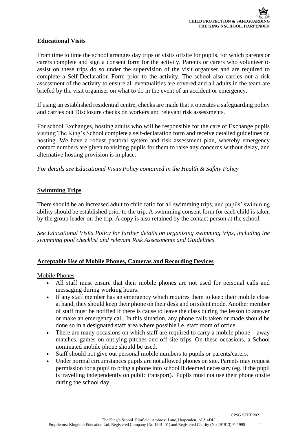### **Educational Visits**

From time to time the school arranges day trips or visits offsite for pupils, for which parents or carers complete and sign a consent form for the activity. Parents or carers who volunteer to assist on these trips do so under the supervision of the visit organiser and are required to complete a Self-Declaration Form prior to the activity. The school also carries out a risk assessment of the activity to ensure all eventualities are covered and all adults in the team are briefed by the visit organiser on what to do in the event of an accident or emergency.

If using an established residential centre, checks are made that it operates a safeguarding policy and carries out Disclosure checks on workers and relevant risk assessments.

For school Exchanges, hosting adults who will be responsible for the care of Exchange pupils visiting The King's School complete a self-declaration form and receive detailed guidelines on hosting. We have a robust pastoral system and risk assessment plan, whereby emergency contact numbers are given to visiting pupils for them to raise any concerns without delay, and alternative hosting provision is in place.

*For details see Educational Visits Policy contained in the Health & Safety Policy*

### **Swimming Trips**

There should be an increased adult to child ratio for all swimming trips, and pupils' swimming ability should be established prior to the trip. A swimming consent form for each child is taken by the group leader on the trip. A copy is also retained by the contact person at the school.

*See Educational Visits Policy for further details on organising swimming trips, including the swimming pool checklist and relevant Risk Assessments and Guidelines*

### **Acceptable Use of Mobile Phones, Cameras and Recording Devices**

#### Mobile Phones

- All staff must ensure that their mobile phones are not used for personal calls and messaging during working hours.
- If any staff member has an emergency which requires them to keep their mobile close at hand, they should keep their phone on their desk and on silent mode. Another member of staff must be notified if there is cause to leave the class during the lesson to answer or make an emergency call. In this situation, any phone calls taken or made should be done so in a designated staff area where possible i.e. staff room of office.
- There are many occasions on which staff are required to carry a mobile phone away matches, games on outlying pitches and off-site trips. On these occasions, a School nominated mobile phone should be used.
- Staff should not give out personal mobile numbers to pupils or parents/carers.
- Under normal circumstances pupils are not allowed phones on site. Parents may request permission for a pupil to bring a phone into school if deemed necessary (eg. if the pupil is travelling independently on public transport). Pupils must not use their phone onsite during the school day.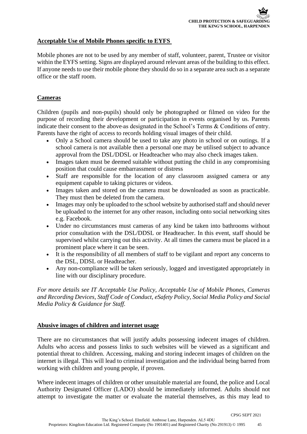### **Acceptable Use of Mobile Phones specific to EYFS**

Mobile phones are not to be used by any member of staff, volunteer, parent, Trustee or visitor within the EYFS setting. Signs are displayed around relevant areas of the building to this effect. If anyone needs to use their mobile phone they should do so in a separate area such as a separate office or the staff room.

### **Cameras**

Children (pupils and non-pupils) should only be photographed or filmed on video for the purpose of recording their development or participation in events organised by us. Parents indicate their consent to the above as designated in the School's Terms & Conditions of entry. Parents have the right of access to records holding visual images of their child.

- Only a School camera should be used to take any photo in school or on outings. If a school camera is not available then a personal one may be utilised subject to advance approval from the DSL/DDSL or Headteacher who may also check images taken.
- Images taken must be deemed suitable without putting the child in any compromising position that could cause embarrassment or distress
- Staff are responsible for the location of any classroom assigned camera or any equipment capable to taking pictures or videos.
- Images taken and stored on the camera must be downloaded as soon as practicable. They must then be deleted from the camera.
- Images may only be uploaded to the school website by authorised staff and should never be uploaded to the internet for any other reason, including onto social networking sites e.g. Facebook.
- Under no circumstances must cameras of any kind be taken into bathrooms without prior consultation with the DSL/DDSL or Headteacher. In this event, staff should be supervised whilst carrying out this activity. At all times the camera must be placed in a prominent place where it can be seen.
- It is the responsibility of all members of staff to be vigilant and report any concerns to the DSL, DDSL or Headteacher.
- Any non-compliance will be taken seriously, logged and investigated appropriately in line with our disciplinary procedure.

*For more details see IT Acceptable Use Policy, Acceptable Use of Mobile Phones, Cameras and Recording Devices, Staff Code of Conduct, eSafety Policy, Social Media Policy and Social Media Policy & Guidance for Staff.*

#### **Abusive images of children and internet usage**

There are no circumstances that will justify adults possessing indecent images of children. Adults who access and possess links to such websites will be viewed as a significant and potential threat to children. Accessing, making and storing indecent images of children on the internet is illegal. This will lead to criminal investigation and the individual being barred from working with children and young people, if proven.

Where indecent images of children or other unsuitable material are found, the police and Local Authority Designated Officer (LADO) should be immediately informed. Adults should not attempt to investigate the matter or evaluate the material themselves, as this may lead to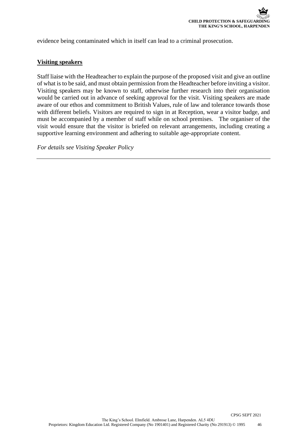evidence being contaminated which in itself can lead to a criminal prosecution.

#### **Visiting speakers**

Staff liaise with the Headteacher to explain the purpose of the proposed visit and give an outline of what is to be said, and must obtain permission from the Headteacher before inviting a visitor. Visiting speakers may be known to staff, otherwise further research into their organisation would be carried out in advance of seeking approval for the visit. Visiting speakers are made aware of our ethos and commitment to British Values, rule of law and tolerance towards those with different beliefs. Visitors are required to sign in at Reception, wear a visitor badge, and must be accompanied by a member of staff while on school premises. The organiser of the visit would ensure that the visitor is briefed on relevant arrangements, including creating a supportive learning environment and adhering to suitable age-appropriate content.

*For details see Visiting Speaker Policy*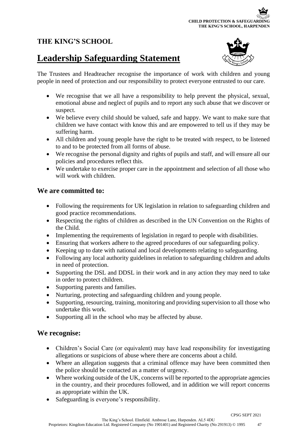### **THE KING'S SCHOOL**

### **Leadership Safeguarding Statement**



The Trustees and Headteacher recognise the importance of work with children and young people in need of protection and our responsibility to protect everyone entrusted to our care.

- We recognise that we all have a responsibility to help prevent the physical, sexual, emotional abuse and neglect of pupils and to report any such abuse that we discover or suspect.
- We believe every child should be valued, safe and happy. We want to make sure that children we have contact with know this and are empowered to tell us if they may be suffering harm.
- All children and young people have the right to be treated with respect, to be listened to and to be protected from all forms of abuse.
- We recognise the personal dignity and rights of pupils and staff, and will ensure all our policies and procedures reflect this.
- We undertake to exercise proper care in the appointment and selection of all those who will work with children.

### **We are committed to:**

- Following the requirements for UK legislation in relation to safeguarding children and good practice recommendations.
- Respecting the rights of children as described in the UN Convention on the Rights of the Child.
- Implementing the requirements of legislation in regard to people with disabilities.
- Ensuring that workers adhere to the agreed procedures of our safeguarding policy.
- Keeping up to date with national and local developments relating to safeguarding.
- Following any local authority guidelines in relation to safeguarding children and adults in need of protection.
- Supporting the DSL and DDSL in their work and in any action they may need to take in order to protect children.
- Supporting parents and families.
- Nurturing, protecting and safeguarding children and young people.
- Supporting, resourcing, training, monitoring and providing supervision to all those who undertake this work.
- Supporting all in the school who may be affected by abuse.

### **We recognise:**

- Children's Social Care (or equivalent) may have lead responsibility for investigating allegations or suspicions of abuse where there are concerns about a child.
- Where an allegation suggests that a criminal offence may have been committed then the police should be contacted as a matter of urgency.
- Where working outside of the UK, concerns will be reported to the appropriate agencies in the country, and their procedures followed, and in addition we will report concerns as appropriate within the UK.
- Safeguarding is everyone's responsibility.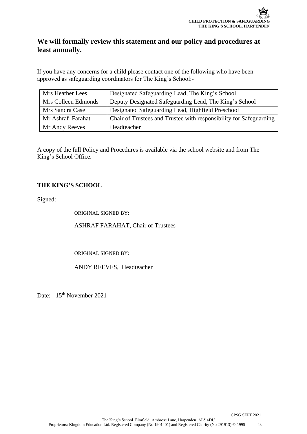### **We will formally review this statement and our policy and procedures at least annually.**

If you have any concerns for a child please contact one of the following who have been approved as safeguarding coordinators for The King's School:-

| <b>Mrs Heather Lees</b> | Designated Safeguarding Lead, The King's School                    |
|-------------------------|--------------------------------------------------------------------|
| Mrs Colleen Edmonds     | Deputy Designated Safeguarding Lead, The King's School             |
| Mrs Sandra Case         | Designated Safeguarding Lead, Highfield Preschool                  |
| Mr Ashraf Farahat       | Chair of Trustees and Trustee with responsibility for Safeguarding |
| Mr Andy Reeves          | Headteacher                                                        |

A copy of the full Policy and Procedures is available via the school website and from The King's School Office.

### **THE KING'S SCHOOL**

Signed:

ORIGINAL SIGNED BY:

ASHRAF FARAHAT, Chair of Trustees

ORIGINAL SIGNED BY:

ANDY REEVES, Headteacher

Date: 15<sup>th</sup> November 2021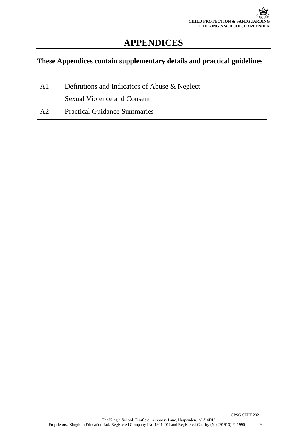### **APPENDICES**

### **These Appendices contain supplementary details and practical guidelines**

| A l            | Definitions and Indicators of Abuse & Neglect |
|----------------|-----------------------------------------------|
|                | <b>Sexual Violence and Consent</b>            |
| A <sub>2</sub> | <b>Practical Guidance Summaries</b>           |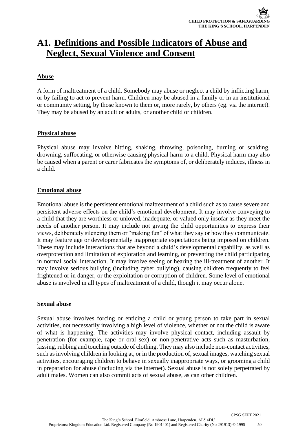### **A1. Definitions and Possible Indicators of Abuse and Neglect, Sexual Violence and Consent**

### **Abuse**

A form of maltreatment of a child. Somebody may abuse or neglect a child by inflicting harm, or by failing to act to prevent harm. Children may be abused in a family or in an institutional or community setting, by those known to them or, more rarely, by others (eg. via the internet). They may be abused by an adult or adults, or another child or children.

### **Physical abuse**

Physical abuse may involve hitting, shaking, throwing, poisoning, burning or scalding, drowning, suffocating, or otherwise causing physical harm to a child. Physical harm may also be caused when a parent or carer fabricates the symptoms of, or deliberately induces, illness in a child.

### **Emotional abuse**

Emotional abuse is the persistent emotional maltreatment of a child such as to cause severe and persistent adverse effects on the child's emotional development. It may involve conveying to a child that they are worthless or unloved, inadequate, or valued only insofar as they meet the needs of another person. It may include not giving the child opportunities to express their views, deliberately silencing them or "making fun" of what they say or how they communicate. It may feature age or developmentally inappropriate expectations being imposed on children. These may include interactions that are beyond a child's developmental capability, as well as overprotection and limitation of exploration and learning, or preventing the child participating in normal social interaction. It may involve seeing or hearing the ill-treatment of another. It may involve serious bullying (including cyber bullying), causing children frequently to feel frightened or in danger, or the exploitation or corruption of children. Some level of emotional abuse is involved in all types of maltreatment of a child, though it may occur alone.

#### **Sexual abuse**

Sexual abuse involves forcing or enticing a child or young person to take part in sexual activities, not necessarily involving a high level of violence, whether or not the child is aware of what is happening. The activities may involve physical contact, including assault by penetration (for example, rape or oral sex) or non-penetrative acts such as masturbation, kissing, rubbing and touching outside of clothing. They may also include non-contact activities, such as involving children in looking at, or in the production of, sexual images, watching sexual activities, encouraging children to behave in sexually inappropriate ways, or grooming a child in preparation for abuse (including via the internet). Sexual abuse is not solely perpetrated by adult males. Women can also commit acts of sexual abuse, as can other children.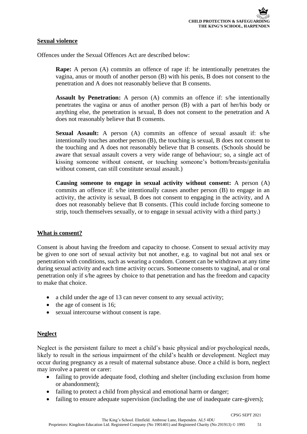### **Sexual violence**

Offences under the Sexual Offences Act are described below:

**Rape:** A person (A) commits an offence of rape if: he intentionally penetrates the vagina, anus or mouth of another person (B) with his penis, B does not consent to the penetration and A does not reasonably believe that B consents.

**Assault by Penetration:** A person (A) commits an offence if: s/he intentionally penetrates the vagina or anus of another person (B) with a part of her/his body or anything else, the penetration is sexual, B does not consent to the penetration and A does not reasonably believe that B consents.

**Sexual Assault:** A person (A) commits an offence of sexual assault if: s/he intentionally touches another person (B), the touching is sexual, B does not consent to the touching and A does not reasonably believe that B consents. (Schools should be aware that sexual assault covers a very wide range of behaviour; so, a single act of kissing someone without consent, or touching someone's bottom/breasts/genitalia without consent, can still constitute sexual assault.)

**Causing someone to engage in sexual activity without consent:** A person (A) commits an offence if: s/he intentionally causes another person (B) to engage in an activity, the activity is sexual, B does not consent to engaging in the activity, and A does not reasonably believe that B consents. (This could include forcing someone to strip, touch themselves sexually, or to engage in sexual activity with a third party.)

#### **What is consent?**

Consent is about having the freedom and capacity to choose. Consent to sexual activity may be given to one sort of sexual activity but not another, e.g. to vaginal but not anal sex or penetration with conditions, such as wearing a condom. Consent can be withdrawn at any time during sexual activity and each time activity occurs. Someone consents to vaginal, anal or oral penetration only if s/he agrees by choice to that penetration and has the freedom and capacity to make that choice.

- a child under the age of 13 can never consent to any sexual activity;
- the age of consent is 16;
- sexual intercourse without consent is rape.

### **Neglect**

Neglect is the persistent failure to meet a child's basic physical and/or psychological needs, likely to result in the serious impairment of the child's health or development. Neglect may occur during pregnancy as a result of maternal substance abuse. Once a child is born, neglect may involve a parent or carer:

- failing to provide adequate food, clothing and shelter (including exclusion from home or abandonment);
- failing to protect a child from physical and emotional harm or danger;
- failing to ensure adequate supervision (including the use of inadequate care-givers);

CPSG SEPT 2021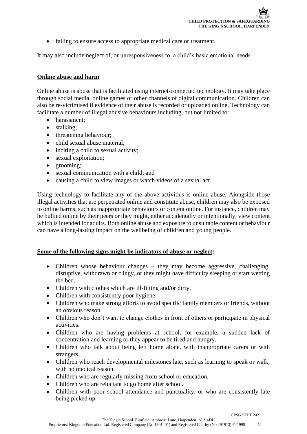• failing to ensure access to appropriate medical care or treatment.

It may also include neglect of, or unresponsiveness to, a child's basic emotional needs.

### **Online abuse and harm**

Online abuse is abuse that is facilitated using internet-connected technology. It may take place through social media, online games or other channels of digital communication. Children can also be re-victimised if evidence of their abuse is recorded or uploaded online. Technology can facilitate a number of illegal abusive behaviours including, but not limited to:

- harassment;
- stalking;
- threatening behaviour;
- child sexual abuse material;
- inciting a child to sexual activity;
- sexual exploitation;
- grooming;
- sexual communication with a child; and
- causing a child to view images or watch videos of a sexual act.

Using technology to facilitate any of the above activities is online abuse. Alongside those illegal activities that are perpetrated online and constitute abuse, children may also be exposed to online harms, such as inappropriate behaviours or content online. For instance, children may be bullied online by their peers or they might, either accidentally or intentionally, view content which is intended for adults. Both online abuse and exposure to unsuitable content or behaviour can have a long-lasting impact on the wellbeing of children and young people.

### **Some of the following signs might be indicators of abuse or neglect:**

- Children whose behaviour changes they may become aggressive, challenging, disruptive, withdrawn or clingy, or they might have difficulty sleeping or start wetting the bed.
- Children with clothes which are ill-fitting and/or dirty.
- Children with consistently poor hygiene.
- Children who make strong efforts to avoid specific family members or friends, without an obvious reason.
- Children who don't want to change clothes in front of others or participate in physical activities.
- Children who are having problems at school, for example, a sudden lack of concentration and learning or they appear to be tired and hungry.
- Children who talk about being left home alone, with inappropriate carers or with strangers.
- Children who reach developmental milestones late, such as learning to speak or walk, with no medical reason.
- Children who are regularly missing from school or education.
- Children who are reluctant to go home after school.
- Children with poor school attendance and punctuality, or who are consistently late being picked up.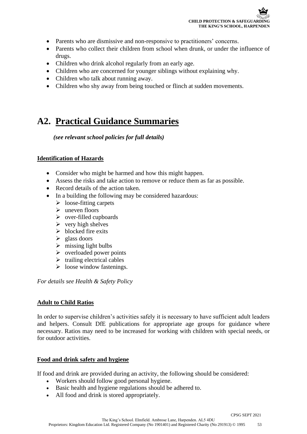- Parents who are dismissive and non-responsive to practitioners' concerns.
- Parents who collect their children from school when drunk, or under the influence of drugs.
- Children who drink alcohol regularly from an early age.
- Children who are concerned for younger siblings without explaining why.
- Children who talk about running away.
- Children who shy away from being touched or flinch at sudden movements.

### **A2. Practical Guidance Summaries**

 *(see relevant school policies for full details)*

### **Identification of Hazards**

- Consider who might be harmed and how this might happen.
- Assess the risks and take action to remove or reduce them as far as possible.
- Record details of the action taken.
- In a building the following may be considered hazardous:
	- $\triangleright$  loose-fitting carpets
	- $\triangleright$  uneven floors
	- ➢ over-filled cupboards
	- $\triangleright$  very high shelves
	- $\triangleright$  blocked fire exits
	- $\triangleright$  glass doors
	- $\triangleright$  missing light bulbs
	- $\triangleright$  overloaded power points
	- $\triangleright$  trailing electrical cables
	- $\triangleright$  loose window fastenings.

*For details see Health & Safety Policy*

#### **Adult to Child Ratios**

In order to supervise children's activities safely it is necessary to have sufficient adult leaders and helpers. Consult DfE publications for appropriate age groups for guidance where necessary. Ratios may need to be increased for working with children with special needs, or for outdoor activities.

#### **Food and drink safety and hygiene**

If food and drink are provided during an activity, the following should be considered:

- Workers should follow good personal hygiene.
- Basic health and hygiene regulations should be adhered to.
- All food and drink is stored appropriately.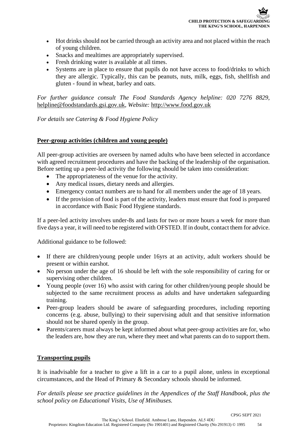- Hot drinks should not be carried through an activity area and not placed within the reach of young children.
- Snacks and mealtimes are appropriately supervised.
- Fresh drinking water is available at all times.
- Systems are in place to ensure that pupils do not have access to food/drinks to which they are allergic. Typically, this can be peanuts, nuts, milk, eggs, fish, shellfish and gluten - found in wheat, barley and oats.

*For further guidance consult The Food Standards Agency helpline: 020 7276 8829,*  [helpline@foodstandards.gsi.gov.uk](mailto:helpline@foodstandards.gsi.gov.uk)*, Website:* [http://www.food.gov.uk](http://www.food.gov.uk/)

*For details see Catering & Food Hygiene Policy*

#### **Peer-group activities (children and young people)**

All peer-group activities are overseen by named adults who have been selected in accordance with agreed recruitment procedures and have the backing of the leadership of the organisation. Before setting up a peer-led activity the following should be taken into consideration:

- The appropriateness of the venue for the activity.
- Any medical issues, dietary needs and allergies.
- Emergency contact numbers are to hand for all members under the age of 18 years.
- If the provision of food is part of the activity, leaders must ensure that food is prepared in accordance with Basic Food Hygiene standards.

If a peer-led activity involves under-8s and lasts for two or more hours a week for more than five days a year, it will need to be registered with OFSTED. If in doubt, contact them for advice.

Additional guidance to be followed:

- If there are children/young people under 16yrs at an activity, adult workers should be present or within earshot.
- No person under the age of 16 should be left with the sole responsibility of caring for or supervising other children.
- Young people (over 16) who assist with caring for other children/young people should be subjected to the same recruitment process as adults and have undertaken safeguarding training.
- Peer-group leaders should be aware of safeguarding procedures, including reporting concerns (e.g. abuse, bullying) to their supervising adult and that sensitive information should not be shared openly in the group.
- Parents/carers must always be kept informed about what peer-group activities are for, who the leaders are, how they are run, where they meet and what parents can do to support them.

### **Transporting pupils**

It is inadvisable for a teacher to give a lift in a car to a pupil alone, unless in exceptional circumstances, and the Head of Primary & Secondary schools should be informed.

*For details please see practice guidelines in the Appendices of the Staff Handbook, plus the school policy on Educational Visits, Use of Minibuses.*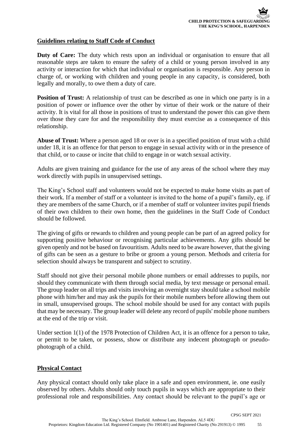### **Guidelines relating to Staff Code of Conduct**

**Duty of Care:** The duty which rests upon an individual or organisation to ensure that all reasonable steps are taken to ensure the safety of a child or young person involved in any activity or interaction for which that individual or organisation is responsible. Any person in charge of, or working with children and young people in any capacity, is considered, both legally and morally, to owe them a duty of care.

**Position of Trust:** A relationship of trust can be described as one in which one party is in a position of power or influence over the other by virtue of their work or the nature of their activity. It is vital for all those in positions of trust to understand the power this can give them over those they care for and the responsibility they must exercise as a consequence of this relationship.

**Abuse of Trust:** Where a person aged 18 or over is in a specified position of trust with a child under 18, it is an offence for that person to engage in sexual activity with or in the presence of that child, or to cause or incite that child to engage in or watch sexual activity.

Adults are given training and guidance for the use of any areas of the school where they may work directly with pupils in unsupervised settings.

The King's School staff and volunteers would not be expected to make home visits as part of their work. If a member of staff or a volunteer is invited to the home of a pupil's family, eg. if they are members of the same Church, or if a member of staff or volunteer invites pupil friends of their own children to their own home, then the guidelines in the Staff Code of Conduct should be followed.

The giving of gifts or rewards to children and young people can be part of an agreed policy for supporting positive behaviour or recognising particular achievements. Any gifts should be given openly and not be based on favouritism. Adults need to be aware however, that the giving of gifts can be seen as a gesture to bribe or groom a young person. Methods and criteria for selection should always be transparent and subject to scrutiny.

Staff should not give their personal mobile phone numbers or email addresses to pupils, nor should they communicate with them through social media, by text message or personal email. The group leader on all trips and visits involving an overnight stay should take a school mobile phone with him/her and may ask the pupils for their mobile numbers before allowing them out in small, unsupervised groups. The school mobile should be used for any contact with pupils that may be necessary. The group leader will delete any record of pupils' mobile phone numbers at the end of the trip or visit.

Under section 1(1) of the 1978 Protection of Children Act, it is an offence for a person to take, or permit to be taken, or possess, show or distribute any indecent photograph or pseudophotograph of a child.

#### **Physical Contact**

Any physical contact should only take place in a safe and open environment, ie. one easily observed by others. Adults should only touch pupils in ways which are appropriate to their professional role and responsibilities. Any contact should be relevant to the pupil's age or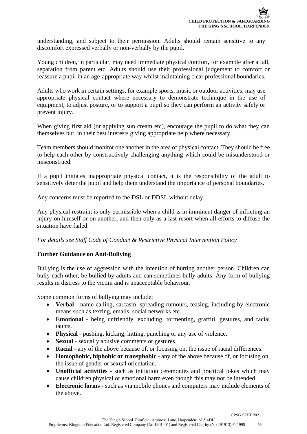understanding, and subject to their permission. Adults should remain sensitive to any discomfort expressed verbally or non-verbally by the pupil.

Young children, in particular, may need immediate physical comfort, for example after a fall, separation from parent etc. Adults should use their professional judgement to comfort or reassure a pupil in an age-appropriate way whilst maintaining clear professional boundaries.

Adults who work in certain settings, for example sports, music or outdoor activities, may use appropriate physical contact where necessary to demonstrate technique in the use of equipment, to adjust posture, or to support a pupil so they can perform an activity safely or prevent injury.

When giving first aid (or applying sun cream etc), encourage the pupil to do what they can themselves but, in their best interests giving appropriate help where necessary.

Team members should monitor one another in the area of physical contact. They should be free to help each other by constructively challenging anything which could be misunderstood or misconstrued.

If a pupil initiates inappropriate physical contact, it is the responsibility of the adult to sensitively deter the pupil and help them understand the importance of personal boundaries.

Any concerns must be reported to the DSL or DDSL without delay.

Any physical restraint is only permissible when a child is in imminent danger of inflicting an injury on himself or on another, and then only as a last resort when all efforts to diffuse the situation have failed.

#### *For details see Staff Code of Conduct & Restrictive Physical Intervention Policy*

### **Further Guidance on Anti-Bullying**

Bullying is the use of aggression with the intention of hurting another person. Children can bully each other, be bullied by adults and can sometimes bully adults. Any form of bullying results in distress to the victim and is unacceptable behaviour.

Some common forms of bullying may include:

- **Verbal** name-calling, sarcasm, spreading rumours, teasing, including by electronic means such as texting, emails, social networks etc.
- **Emotional** being unfriendly, excluding, tormenting, graffiti, gestures, and racial taunts.
- **Physical** pushing, kicking, hitting, punching or any use of violence.
- **Sexual** sexually abusive comments or gestures.
- **Racial** any of the above because of, or focusing on, the issue of racial differences.
- **Homophobic, biphobic or transphobic** any of the above because of, or focusing on, the issue of gender or sexual orientation.
- **Unofficial activities** such as initiation ceremonies and practical jokes which may cause children physical or emotional harm even though this may not be intended.
- **Electronic forms** such as via mobile phones and computers may include elements of the above.